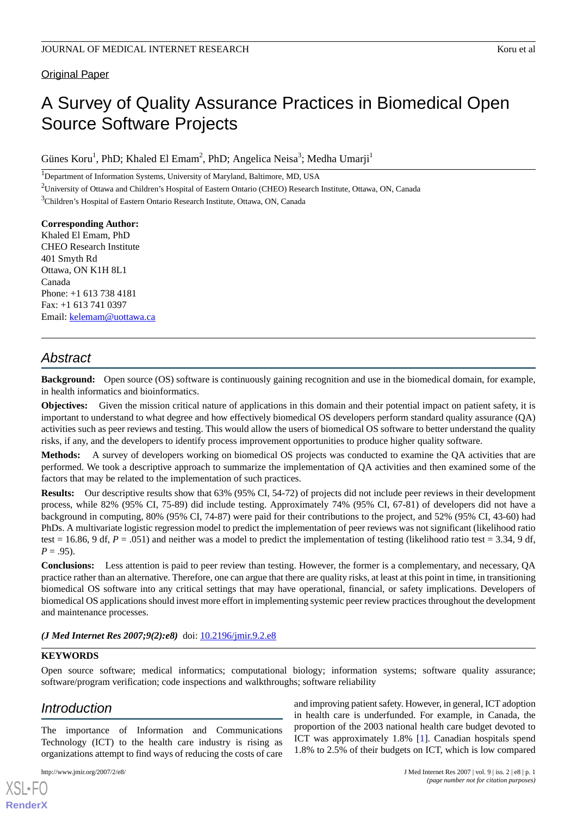Original Paper

# A Survey of Quality Assurance Practices in Biomedical Open Source Software Projects

Günes Koru<sup>1</sup>, PhD; Khaled El Emam<sup>2</sup>, PhD; Angelica Neisa<sup>3</sup>; Medha Umarji<sup>1</sup>

<sup>1</sup>Department of Information Systems, University of Maryland, Baltimore, MD, USA

<sup>2</sup>University of Ottawa and Children's Hospital of Eastern Ontario (CHEO) Research Institute, Ottawa, ON, Canada <sup>3</sup>Children's Hospital of Eastern Ontario Research Institute, Ottawa, ON, Canada

**Corresponding Author:** Khaled El Emam, PhD CHEO Research Institute 401 Smyth Rd Ottawa, ON K1H 8L1 Canada Phone: +1 613 738 4181 Fax: +1 613 741 0397 Email: [kelemam@uottawa.ca](mailto:kelemam@uottawa.ca)

# *Abstract*

**Background:** Open source (OS) software is continuously gaining recognition and use in the biomedical domain, for example, in health informatics and bioinformatics.

**Objectives:** Given the mission critical nature of applications in this domain and their potential impact on patient safety, it is important to understand to what degree and how effectively biomedical OS developers perform standard quality assurance (QA) activities such as peer reviews and testing. This would allow the users of biomedical OS software to better understand the quality risks, if any, and the developers to identify process improvement opportunities to produce higher quality software.

**Methods:** A survey of developers working on biomedical OS projects was conducted to examine the QA activities that are performed. We took a descriptive approach to summarize the implementation of QA activities and then examined some of the factors that may be related to the implementation of such practices.

**Results:** Our descriptive results show that 63% (95% CI, 54-72) of projects did not include peer reviews in their development process, while 82% (95% CI, 75-89) did include testing. Approximately 74% (95% CI, 67-81) of developers did not have a background in computing, 80% (95% CI, 74-87) were paid for their contributions to the project, and 52% (95% CI, 43-60) had PhDs. A multivariate logistic regression model to predict the implementation of peer reviews was not significant (likelihood ratio test = 16.86, 9 df,  $P = .051$ ) and neither was a model to predict the implementation of testing (likelihood ratio test = 3.34, 9 df,  $P = .95$ ).

**Conclusions:** Less attention is paid to peer review than testing. However, the former is a complementary, and necessary, QA practice rather than an alternative. Therefore, one can argue that there are quality risks, at least at this point in time, in transitioning biomedical OS software into any critical settings that may have operational, financial, or safety implications. Developers of biomedical OS applications should invest more effort in implementing systemic peer review practices throughout the development and maintenance processes.

*(J Med Internet Res 2007;9(2):e8)* doi:  $10.2196/$ *jmir.9.2.e8* 

# **KEYWORDS**

Open source software; medical informatics; computational biology; information systems; software quality assurance; software/program verification; code inspections and walkthroughs; software reliability

# *Introduction*

The importance of Information and Communications Technology (ICT) to the health care industry is rising as organizations attempt to find ways of reducing the costs of care

[XSL](http://www.w3.org/Style/XSL)•FO **[RenderX](http://www.renderx.com/)**

and improving patient safety. However, in general, ICT adoption in health care is underfunded. For example, in Canada, the proportion of the 2003 national health care budget devoted to ICT was approximately 1.8% [\[1](#page-13-0)]. Canadian hospitals spend 1.8% to 2.5% of their budgets on ICT, which is low compared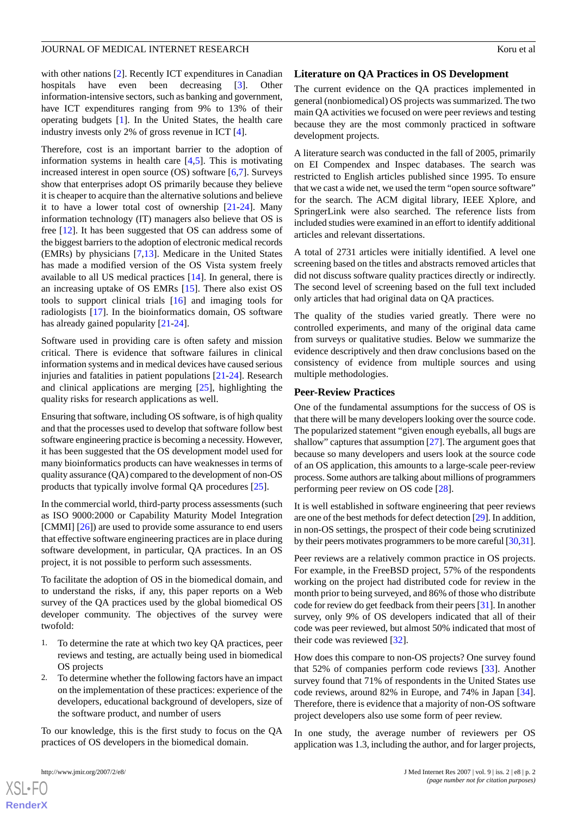with other nations [\[2](#page-13-1)]. Recently ICT expenditures in Canadian hospitals have even been decreasing [\[3](#page-14-0)]. Other information-intensive sectors, such as banking and government, have ICT expenditures ranging from 9% to 13% of their operating budgets [\[1](#page-13-0)]. In the United States, the health care industry invests only 2% of gross revenue in ICT [\[4](#page-14-1)].

Therefore, cost is an important barrier to the adoption of information systems in health care [[4](#page-14-1)[,5](#page-14-2)]. This is motivating increased interest in open source (OS) software [[6,](#page-14-3)[7](#page-14-4)]. Surveys show that enterprises adopt OS primarily because they believe it is cheaper to acquire than the alternative solutions and believe it to have a lower total cost of ownership [\[21](#page-14-5)-[24\]](#page-14-6). Many information technology (IT) managers also believe that OS is free [[12\]](#page-14-7). It has been suggested that OS can address some of the biggest barriers to the adoption of electronic medical records (EMRs) by physicians [\[7](#page-14-4),[13\]](#page-14-8). Medicare in the United States has made a modified version of the OS Vista system freely available to all US medical practices [\[14](#page-14-9)]. In general, there is an increasing uptake of OS EMRs [[15\]](#page-14-10). There also exist OS tools to support clinical trials [[16\]](#page-14-11) and imaging tools for radiologists [\[17](#page-14-12)]. In the bioinformatics domain, OS software has already gained popularity [\[21](#page-14-5)-[24\]](#page-14-6).

Software used in providing care is often safety and mission critical. There is evidence that software failures in clinical information systems and in medical devices have caused serious injuries and fatalities in patient populations [\[21](#page-14-5)[-24](#page-14-6)]. Research and clinical applications are merging [[25\]](#page-14-13), highlighting the quality risks for research applications as well.

Ensuring that software, including OS software, is of high quality and that the processes used to develop that software follow best software engineering practice is becoming a necessity. However, it has been suggested that the OS development model used for many bioinformatics products can have weaknesses in terms of quality assurance (QA) compared to the development of non-OS products that typically involve formal QA procedures [\[25](#page-14-13)].

In the commercial world, third-party process assessments (such as ISO 9000:2000 or Capability Maturity Model Integration [CMMI] [[26\]](#page-14-14)) are used to provide some assurance to end users that effective software engineering practices are in place during software development, in particular, QA practices. In an OS project, it is not possible to perform such assessments.

To facilitate the adoption of OS in the biomedical domain, and to understand the risks, if any, this paper reports on a Web survey of the QA practices used by the global biomedical OS developer community. The objectives of the survey were twofold:

- 1. To determine the rate at which two key QA practices, peer reviews and testing, are actually being used in biomedical OS projects
- 2. To determine whether the following factors have an impact on the implementation of these practices: experience of the developers, educational background of developers, size of the software product, and number of users

To our knowledge, this is the first study to focus on the QA practices of OS developers in the biomedical domain.

[XSL](http://www.w3.org/Style/XSL)•FO **[RenderX](http://www.renderx.com/)**

### **Literature on QA Practices in OS Development**

The current evidence on the QA practices implemented in general (nonbiomedical) OS projects was summarized. The two main QA activities we focused on were peer reviews and testing because they are the most commonly practiced in software development projects.

A literature search was conducted in the fall of 2005, primarily on EI Compendex and Inspec databases. The search was restricted to English articles published since 1995. To ensure that we cast a wide net, we used the term "open source software" for the search. The ACM digital library, IEEE Xplore, and SpringerLink were also searched. The reference lists from included studies were examined in an effort to identify additional articles and relevant dissertations.

A total of 2731 articles were initially identified. A level one screening based on the titles and abstracts removed articles that did not discuss software quality practices directly or indirectly. The second level of screening based on the full text included only articles that had original data on QA practices.

The quality of the studies varied greatly. There were no controlled experiments, and many of the original data came from surveys or qualitative studies. Below we summarize the evidence descriptively and then draw conclusions based on the consistency of evidence from multiple sources and using multiple methodologies.

### **Peer-Review Practices**

One of the fundamental assumptions for the success of OS is that there will be many developers looking over the source code. The popularized statement "given enough eyeballs, all bugs are shallow" captures that assumption [\[27](#page-14-15)]. The argument goes that because so many developers and users look at the source code of an OS application, this amounts to a large-scale peer-review process. Some authors are talking about millions of programmers performing peer review on OS code [\[28](#page-14-16)].

It is well established in software engineering that peer reviews are one of the best methods for defect detection [[29\]](#page-14-17). In addition, in non-OS settings, the prospect of their code being scrutinized by their peers motivates programmers to be more careful [\[30](#page-15-0)[,31](#page-15-1)].

Peer reviews are a relatively common practice in OS projects. For example, in the FreeBSD project, 57% of the respondents working on the project had distributed code for review in the month prior to being surveyed, and 86% of those who distribute code for review do get feedback from their peers [[31\]](#page-15-1). In another survey, only 9% of OS developers indicated that all of their code was peer reviewed, but almost 50% indicated that most of their code was reviewed [[32\]](#page-15-2).

How does this compare to non-OS projects? One survey found that 52% of companies perform code reviews [\[33](#page-15-3)]. Another survey found that 71% of respondents in the United States use code reviews, around 82% in Europe, and 74% in Japan [[34\]](#page-15-4). Therefore, there is evidence that a majority of non-OS software project developers also use some form of peer review.

In one study, the average number of reviewers per OS application was 1.3, including the author, and for larger projects,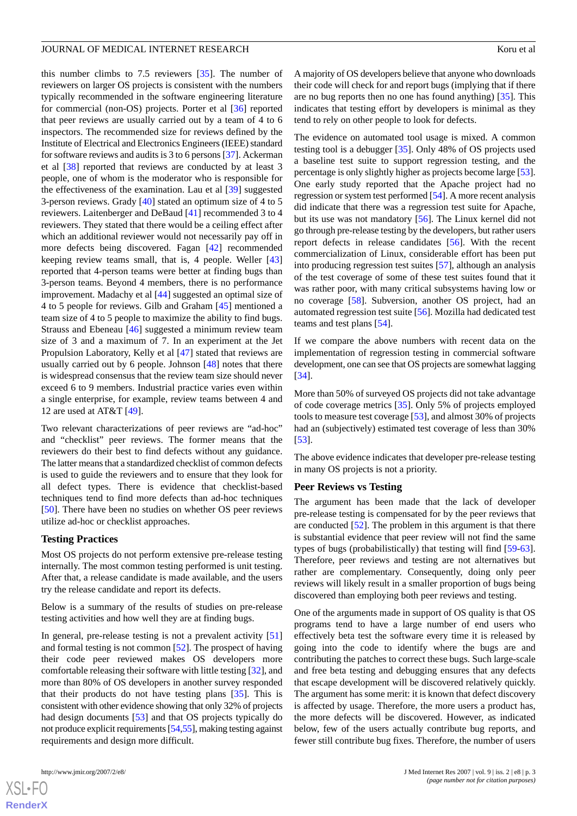this number climbs to 7.5 reviewers [\[35](#page-15-5)]. The number of reviewers on larger OS projects is consistent with the numbers typically recommended in the software engineering literature for commercial (non-OS) projects. Porter et al [\[36](#page-15-6)] reported that peer reviews are usually carried out by a team of 4 to 6 inspectors. The recommended size for reviews defined by the Institute of Electrical and Electronics Engineers (IEEE) standard for software reviews and audits is 3 to 6 persons [\[37\]](#page-15-7). Ackerman et al [\[38](#page-15-8)] reported that reviews are conducted by at least 3 people, one of whom is the moderator who is responsible for the effectiveness of the examination. Lau et al [[39\]](#page-15-9) suggested 3-person reviews. Grady [[40\]](#page-15-10) stated an optimum size of 4 to 5 reviewers. Laitenberger and DeBaud [\[41](#page-15-11)] recommended 3 to 4 reviewers. They stated that there would be a ceiling effect after which an additional reviewer would not necessarily pay off in more defects being discovered. Fagan [[42\]](#page-15-12) recommended keeping review teams small, that is, 4 people. Weller [\[43](#page-15-13)] reported that 4-person teams were better at finding bugs than 3-person teams. Beyond 4 members, there is no performance improvement. Madachy et al [[44\]](#page-15-14) suggested an optimal size of 4 to 5 people for reviews. Gilb and Graham [[45\]](#page-15-15) mentioned a team size of 4 to 5 people to maximize the ability to find bugs. Strauss and Ebeneau [\[46](#page-15-16)] suggested a minimum review team size of 3 and a maximum of 7. In an experiment at the Jet Propulsion Laboratory, Kelly et al [[47\]](#page-15-17) stated that reviews are usually carried out by 6 people. Johnson [\[48](#page-15-18)] notes that there is widespread consensus that the review team size should never exceed 6 to 9 members. Industrial practice varies even within a single enterprise, for example, review teams between 4 and 12 are used at AT&T [\[49](#page-15-19)].

Two relevant characterizations of peer reviews are "ad-hoc" and "checklist" peer reviews. The former means that the reviewers do their best to find defects without any guidance. The latter means that a standardized checklist of common defects is used to guide the reviewers and to ensure that they look for all defect types. There is evidence that checklist-based techniques tend to find more defects than ad-hoc techniques [[50\]](#page-15-20). There have been no studies on whether OS peer reviews utilize ad-hoc or checklist approaches.

### **Testing Practices**

Most OS projects do not perform extensive pre-release testing internally. The most common testing performed is unit testing. After that, a release candidate is made available, and the users try the release candidate and report its defects.

Below is a summary of the results of studies on pre-release testing activities and how well they are at finding bugs.

In general, pre-release testing is not a prevalent activity [\[51](#page-15-21)] and formal testing is not common [[52\]](#page-15-22). The prospect of having their code peer reviewed makes OS developers more comfortable releasing their software with little testing [\[32](#page-15-2)], and more than 80% of OS developers in another survey responded that their products do not have testing plans [[35\]](#page-15-5). This is consistent with other evidence showing that only 32% of projects had design documents [[53\]](#page-15-23) and that OS projects typically do not produce explicit requirements [\[54](#page-15-24)[,55](#page-15-25)], making testing against requirements and design more difficult.

A majority of OS developers believe that anyone who downloads their code will check for and report bugs (implying that if there are no bug reports then no one has found anything) [\[35](#page-15-5)]. This indicates that testing effort by developers is minimal as they tend to rely on other people to look for defects.

The evidence on automated tool usage is mixed. A common testing tool is a debugger [\[35](#page-15-5)]. Only 48% of OS projects used a baseline test suite to support regression testing, and the percentage is only slightly higher as projects become large [\[53\]](#page-15-23). One early study reported that the Apache project had no regression or system test performed [[54](#page-15-24)]. A more recent analysis did indicate that there was a regression test suite for Apache, but its use was not mandatory [[56\]](#page-15-26). The Linux kernel did not go through pre-release testing by the developers, but rather users report defects in release candidates [\[56](#page-15-26)]. With the recent commercialization of Linux, considerable effort has been put into producing regression test suites [[57\]](#page-15-27), although an analysis of the test coverage of some of these test suites found that it was rather poor, with many critical subsystems having low or no coverage [[58\]](#page-15-28). Subversion, another OS project, had an automated regression test suite [[56\]](#page-15-26). Mozilla had dedicated test teams and test plans [[54\]](#page-15-24).

If we compare the above numbers with recent data on the implementation of regression testing in commercial software development, one can see that OS projects are somewhat lagging [[34\]](#page-15-4).

More than 50% of surveyed OS projects did not take advantage of code coverage metrics [\[35](#page-15-5)]. Only 5% of projects employed tools to measure test coverage [\[53](#page-15-23)], and almost 30% of projects had an (subjectively) estimated test coverage of less than 30% [[53\]](#page-15-23).

The above evidence indicates that developer pre-release testing in many OS projects is not a priority.

### **Peer Reviews vs Testing**

The argument has been made that the lack of developer pre-release testing is compensated for by the peer reviews that are conducted [[52\]](#page-15-22). The problem in this argument is that there is substantial evidence that peer review will not find the same types of bugs (probabilistically) that testing will find [[59-](#page-15-29)[63\]](#page-16-0). Therefore, peer reviews and testing are not alternatives but rather are complementary. Consequently, doing only peer reviews will likely result in a smaller proportion of bugs being discovered than employing both peer reviews and testing.

One of the arguments made in support of OS quality is that OS programs tend to have a large number of end users who effectively beta test the software every time it is released by going into the code to identify where the bugs are and contributing the patches to correct these bugs. Such large-scale and free beta testing and debugging ensures that any defects that escape development will be discovered relatively quickly. The argument has some merit: it is known that defect discovery is affected by usage. Therefore, the more users a product has, the more defects will be discovered. However, as indicated below, few of the users actually contribute bug reports, and fewer still contribute bug fixes. Therefore, the number of users



 $XS$ -FO **[RenderX](http://www.renderx.com/)**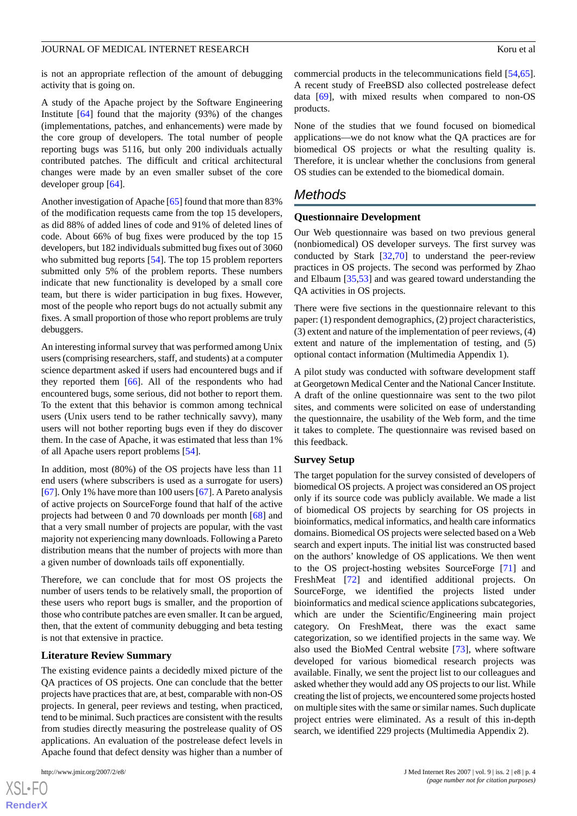is not an appropriate reflection of the amount of debugging activity that is going on.

A study of the Apache project by the Software Engineering Institute [[64\]](#page-16-1) found that the majority (93%) of the changes (implementations, patches, and enhancements) were made by the core group of developers. The total number of people reporting bugs was 5116, but only 200 individuals actually contributed patches. The difficult and critical architectural changes were made by an even smaller subset of the core developer group [\[64](#page-16-1)].

Another investigation of Apache [\[65](#page-16-2)] found that more than 83% of the modification requests came from the top 15 developers, as did 88% of added lines of code and 91% of deleted lines of code. About 66% of bug fixes were produced by the top 15 developers, but 182 individuals submitted bug fixes out of 3060 who submitted bug reports [[54\]](#page-15-24). The top 15 problem reporters submitted only 5% of the problem reports. These numbers indicate that new functionality is developed by a small core team, but there is wider participation in bug fixes. However, most of the people who report bugs do not actually submit any fixes. A small proportion of those who report problems are truly debuggers.

An interesting informal survey that was performed among Unix users (comprising researchers, staff, and students) at a computer science department asked if users had encountered bugs and if they reported them [[66\]](#page-16-3). All of the respondents who had encountered bugs, some serious, did not bother to report them. To the extent that this behavior is common among technical users (Unix users tend to be rather technically savvy), many users will not bother reporting bugs even if they do discover them. In the case of Apache, it was estimated that less than 1% of all Apache users report problems [\[54](#page-15-24)].

In addition, most (80%) of the OS projects have less than 11 end users (where subscribers is used as a surrogate for users) [[67\]](#page-16-4). Only 1% have more than 100 users [\[67](#page-16-4)]. A Pareto analysis of active projects on SourceForge found that half of the active projects had between 0 and 70 downloads per month [\[68](#page-16-5)] and that a very small number of projects are popular, with the vast majority not experiencing many downloads. Following a Pareto distribution means that the number of projects with more than a given number of downloads tails off exponentially.

Therefore, we can conclude that for most OS projects the number of users tends to be relatively small, the proportion of these users who report bugs is smaller, and the proportion of those who contribute patches are even smaller. It can be argued, then, that the extent of community debugging and beta testing is not that extensive in practice.

#### **Literature Review Summary**

The existing evidence paints a decidedly mixed picture of the QA practices of OS projects. One can conclude that the better projects have practices that are, at best, comparable with non-OS projects. In general, peer reviews and testing, when practiced, tend to be minimal. Such practices are consistent with the results from studies directly measuring the postrelease quality of OS applications. An evaluation of the postrelease defect levels in Apache found that defect density was higher than a number of

commercial products in the telecommunications field [\[54](#page-15-24),[65\]](#page-16-2). A recent study of FreeBSD also collected postrelease defect data [\[69](#page-16-6)], with mixed results when compared to non-OS products.

None of the studies that we found focused on biomedical applications—we do not know what the QA practices are for biomedical OS projects or what the resulting quality is. Therefore, it is unclear whether the conclusions from general OS studies can be extended to the biomedical domain.

# *Methods*

### **Questionnaire Development**

Our Web questionnaire was based on two previous general (nonbiomedical) OS developer surveys. The first survey was conducted by Stark [[32,](#page-15-2)[70\]](#page-16-7) to understand the peer-review practices in OS projects. The second was performed by Zhao and Elbaum [[35](#page-15-5)[,53](#page-15-23)] and was geared toward understanding the QA activities in OS projects.

There were five sections in the questionnaire relevant to this paper: (1) respondent demographics, (2) project characteristics, (3) extent and nature of the implementation of peer reviews, (4) extent and nature of the implementation of testing, and (5) optional contact information (Multimedia Appendix 1).

A pilot study was conducted with software development staff at Georgetown Medical Center and the National Cancer Institute. A draft of the online questionnaire was sent to the two pilot sites, and comments were solicited on ease of understanding the questionnaire, the usability of the Web form, and the time it takes to complete. The questionnaire was revised based on this feedback.

### **Survey Setup**

The target population for the survey consisted of developers of biomedical OS projects. A project was considered an OS project only if its source code was publicly available. We made a list of biomedical OS projects by searching for OS projects in bioinformatics, medical informatics, and health care informatics domains. Biomedical OS projects were selected based on a Web search and expert inputs. The initial list was constructed based on the authors' knowledge of OS applications. We then went to the OS project-hosting websites SourceForge [\[71](#page-16-8)] and FreshMeat [\[72](#page-16-9)] and identified additional projects. On SourceForge, we identified the projects listed under bioinformatics and medical science applications subcategories, which are under the Scientific/Engineering main project category. On FreshMeat, there was the exact same categorization, so we identified projects in the same way. We also used the BioMed Central website [\[73](#page-16-10)], where software developed for various biomedical research projects was available. Finally, we sent the project list to our colleagues and asked whether they would add any OS projects to our list. While creating the list of projects, we encountered some projects hosted on multiple sites with the same or similar names. Such duplicate project entries were eliminated. As a result of this in-depth search, we identified 229 projects (Multimedia Appendix 2).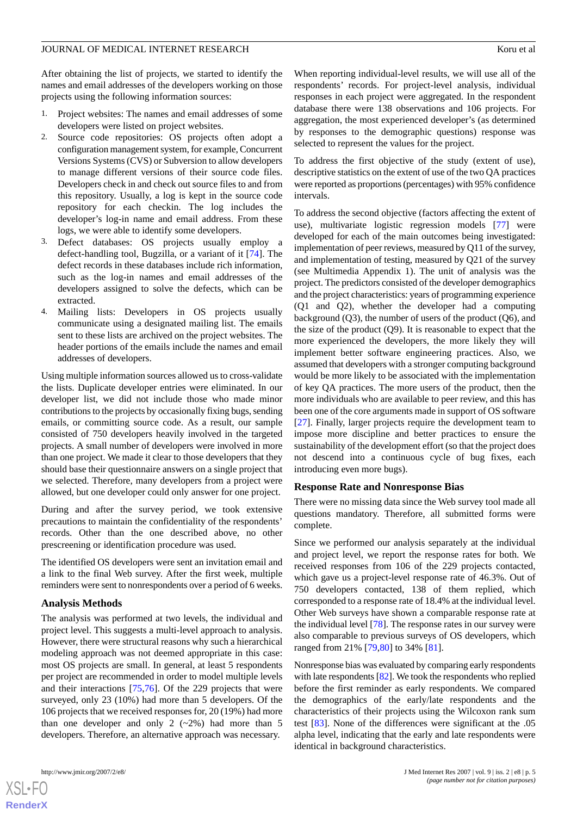After obtaining the list of projects, we started to identify the names and email addresses of the developers working on those projects using the following information sources:

- 1. Project websites: The names and email addresses of some developers were listed on project websites.
- 2. Source code repositories: OS projects often adopt a configuration management system, for example, Concurrent Versions Systems (CVS) or Subversion to allow developers to manage different versions of their source code files. Developers check in and check out source files to and from this repository. Usually, a log is kept in the source code repository for each checkin. The log includes the developer's log-in name and email address. From these logs, we were able to identify some developers.
- 3. Defect databases: OS projects usually employ a defect-handling tool, Bugzilla, or a variant of it [\[74](#page-16-11)]. The defect records in these databases include rich information, such as the log-in names and email addresses of the developers assigned to solve the defects, which can be extracted.
- 4. Mailing lists: Developers in OS projects usually communicate using a designated mailing list. The emails sent to these lists are archived on the project websites. The header portions of the emails include the names and email addresses of developers.

Using multiple information sources allowed us to cross-validate the lists. Duplicate developer entries were eliminated. In our developer list, we did not include those who made minor contributions to the projects by occasionally fixing bugs, sending emails, or committing source code. As a result, our sample consisted of 750 developers heavily involved in the targeted projects. A small number of developers were involved in more than one project. We made it clear to those developers that they should base their questionnaire answers on a single project that we selected. Therefore, many developers from a project were allowed, but one developer could only answer for one project.

During and after the survey period, we took extensive precautions to maintain the confidentiality of the respondents' records. Other than the one described above, no other prescreening or identification procedure was used.

The identified OS developers were sent an invitation email and a link to the final Web survey. After the first week, multiple reminders were sent to nonrespondents over a period of 6 weeks.

# **Analysis Methods**

The analysis was performed at two levels, the individual and project level. This suggests a multi-level approach to analysis. However, there were structural reasons why such a hierarchical modeling approach was not deemed appropriate in this case: most OS projects are small. In general, at least 5 respondents per project are recommended in order to model multiple levels and their interactions [[75,](#page-16-12)[76](#page-16-13)]. Of the 229 projects that were surveyed, only 23 (10%) had more than 5 developers. Of the 106 projects that we received responses for, 20 (19%) had more than one developer and only 2  $(-2%)$  had more than 5 developers. Therefore, an alternative approach was necessary.

 $XS$  • FO **[RenderX](http://www.renderx.com/)** When reporting individual-level results, we will use all of the respondents' records. For project-level analysis, individual responses in each project were aggregated. In the respondent database there were 138 observations and 106 projects. For aggregation, the most experienced developer's (as determined by responses to the demographic questions) response was selected to represent the values for the project.

To address the first objective of the study (extent of use), descriptive statistics on the extent of use of the two QA practices were reported as proportions (percentages) with 95% confidence intervals.

To address the second objective (factors affecting the extent of use), multivariate logistic regression models [\[77](#page-16-14)] were developed for each of the main outcomes being investigated: implementation of peer reviews, measured by Q11 of the survey, and implementation of testing, measured by Q21 of the survey (see Multimedia Appendix 1). The unit of analysis was the project. The predictors consisted of the developer demographics and the project characteristics: years of programming experience (Q1 and Q2), whether the developer had a computing background (Q3), the number of users of the product (Q6), and the size of the product (Q9). It is reasonable to expect that the more experienced the developers, the more likely they will implement better software engineering practices. Also, we assumed that developers with a stronger computing background would be more likely to be associated with the implementation of key QA practices. The more users of the product, then the more individuals who are available to peer review, and this has been one of the core arguments made in support of OS software [[27\]](#page-14-15). Finally, larger projects require the development team to impose more discipline and better practices to ensure the sustainability of the development effort (so that the project does not descend into a continuous cycle of bug fixes, each introducing even more bugs).

# **Response Rate and Nonresponse Bias**

There were no missing data since the Web survey tool made all questions mandatory. Therefore, all submitted forms were complete.

Since we performed our analysis separately at the individual and project level, we report the response rates for both. We received responses from 106 of the 229 projects contacted, which gave us a project-level response rate of 46.3%. Out of 750 developers contacted, 138 of them replied, which corresponded to a response rate of 18.4% at the individual level. Other Web surveys have shown a comparable response rate at the individual level [\[78](#page-16-15)]. The response rates in our survey were also comparable to previous surveys of OS developers, which ranged from 21% [\[79](#page-16-16),[80\]](#page-16-17) to 34% [\[81](#page-16-18)].

Nonresponse bias was evaluated by comparing early respondents with late respondents [[82](#page-16-19)]. We took the respondents who replied before the first reminder as early respondents. We compared the demographics of the early/late respondents and the characteristics of their projects using the Wilcoxon rank sum test [\[83](#page-16-20)]. None of the differences were significant at the .05 alpha level, indicating that the early and late respondents were identical in background characteristics.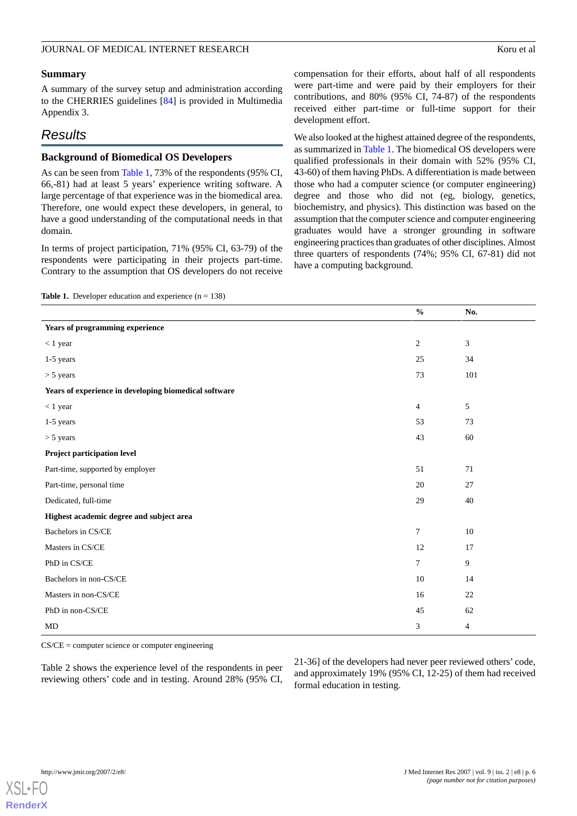### **Summary**

A summary of the survey setup and administration according to the CHERRIES guidelines [\[84](#page-16-21)] is provided in Multimedia Appendix 3.

# *Results*

# **Background of Biomedical OS Developers**

As can be seen from [Table 1,](#page-5-0) 73% of the respondents (95% CI, 66,-81) had at least 5 years' experience writing software. A large percentage of that experience was in the biomedical area. Therefore, one would expect these developers, in general, to have a good understanding of the computational needs in that domain.

<span id="page-5-0"></span>In terms of project participation, 71% (95% CI, 63-79) of the respondents were participating in their projects part-time. Contrary to the assumption that OS developers do not receive compensation for their efforts, about half of all respondents were part-time and were paid by their employers for their contributions, and 80% (95% CI, 74-87) of the respondents received either part-time or full-time support for their development effort.

We also looked at the highest attained degree of the respondents, as summarized in [Table 1](#page-5-0). The biomedical OS developers were qualified professionals in their domain with 52% (95% CI, 43-60) of them having PhDs. A differentiation is made between those who had a computer science (or computer engineering) degree and those who did not (eg, biology, genetics, biochemistry, and physics). This distinction was based on the assumption that the computer science and computer engineering graduates would have a stronger grounding in software engineering practices than graduates of other disciplines. Almost three quarters of respondents (74%; 95% CI, 67-81) did not have a computing background.

**Table 1.** Developer education and experience  $(n = 138)$ 

|                                                       | $\frac{0}{0}$  | No.            |  |  |  |
|-------------------------------------------------------|----------------|----------------|--|--|--|
| Years of programming experience                       |                |                |  |  |  |
| $< 1$ year                                            | $\mathfrak{2}$ | 3              |  |  |  |
| 1-5 years                                             | 25             | 34             |  |  |  |
| $> 5$ years                                           | 73             | 101            |  |  |  |
| Years of experience in developing biomedical software |                |                |  |  |  |
| $< 1$ year                                            | $\overline{4}$ | 5              |  |  |  |
| 1-5 years                                             | 53             | 73             |  |  |  |
| $>$ 5 years                                           | 43             | 60             |  |  |  |
| Project participation level                           |                |                |  |  |  |
| Part-time, supported by employer                      | 51             | 71             |  |  |  |
| Part-time, personal time                              | 20             | 27             |  |  |  |
| Dedicated, full-time                                  | 29             | 40             |  |  |  |
| Highest academic degree and subject area              |                |                |  |  |  |
| Bachelors in CS/CE                                    | 7              | 10             |  |  |  |
| Masters in CS/CE                                      | 12             | 17             |  |  |  |
| PhD in CS/CE                                          | $\tau$         | 9              |  |  |  |
| Bachelors in non-CS/CE                                | 10             | 14             |  |  |  |
| Masters in non-CS/CE                                  | 16             | 22             |  |  |  |
| PhD in non-CS/CE                                      | 45             | 62             |  |  |  |
| MD                                                    | 3              | $\overline{4}$ |  |  |  |

 $CS/CE =$  computer science or computer engineering

Table 2 shows the experience level of the respondents in peer reviewing others' code and in testing. Around 28% (95% CI,

21-36] of the developers had never peer reviewed others' code, and approximately 19% (95% CI, 12-25) of them had received formal education in testing.

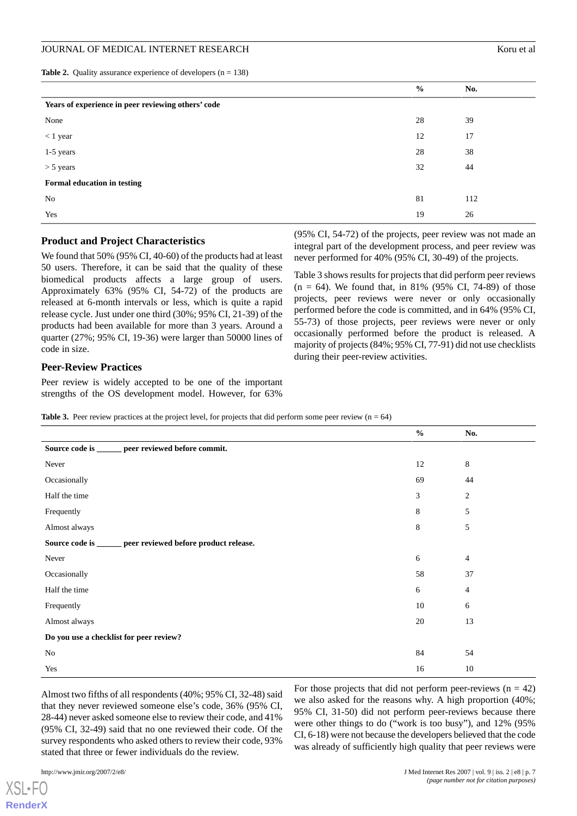**Table 2.** Quality assurance experience of developers (n = 138)

|                                                    | $\frac{6}{9}$ | No. |
|----------------------------------------------------|---------------|-----|
| Years of experience in peer reviewing others' code |               |     |
| None                                               | 28            | 39  |
| $<$ 1 year                                         | 12            | 17  |
| 1-5 years                                          | 28            | 38  |
| $>$ 5 years                                        | 32            | 44  |
| <b>Formal education in testing</b>                 |               |     |
| No                                                 | 81            | 112 |
| Yes                                                | 19            | 26  |

### **Product and Project Characteristics**

We found that 50% (95% CI, 40-60) of the products had at least 50 users. Therefore, it can be said that the quality of these biomedical products affects a large group of users. Approximately 63% (95% CI, 54-72) of the products are released at 6-month intervals or less, which is quite a rapid release cycle. Just under one third (30%; 95% CI, 21-39) of the products had been available for more than 3 years. Around a quarter (27%; 95% CI, 19-36) were larger than 50000 lines of code in size.

(95% CI, 54-72) of the projects, peer review was not made an integral part of the development process, and peer review was never performed for 40% (95% CI, 30-49) of the projects.

Table 3 shows results for projects that did perform peer reviews  $(n = 64)$ . We found that, in 81% (95% CI, 74-89) of those projects, peer reviews were never or only occasionally performed before the code is committed, and in 64% (95% CI, 55-73) of those projects, peer reviews were never or only occasionally performed before the product is released. A majority of projects (84%; 95% CI, 77-91) did not use checklists during their peer-review activities.

# **Peer-Review Practices**

Peer review is widely accepted to be one of the important strengths of the OS development model. However, for 63%

**Table 3.** Peer review practices at the project level, for projects that did perform some peer review ( $n = 64$ )

|                                                             | $\mathbf{0}_{\mathbf{0}}^{\prime}$ | No.            |  |  |
|-------------------------------------------------------------|------------------------------------|----------------|--|--|
| peer reviewed before commit.<br>Source code is ______       |                                    |                |  |  |
| Never                                                       | 12                                 | $\,8\,$        |  |  |
| Occasionally                                                | 69                                 | 44             |  |  |
| Half the time                                               | 3                                  | $\overline{c}$ |  |  |
| Frequently                                                  | 8                                  | 5              |  |  |
| Almost always                                               | 8                                  | 5              |  |  |
| Source code is ______ peer reviewed before product release. |                                    |                |  |  |
| Never                                                       | 6                                  | $\overline{4}$ |  |  |
| Occasionally                                                | 58                                 | 37             |  |  |
| Half the time                                               | 6                                  | $\overline{4}$ |  |  |
| Frequently                                                  | 10                                 | 6              |  |  |
| Almost always                                               | 20                                 | 13             |  |  |
| Do you use a checklist for peer review?                     |                                    |                |  |  |
| No                                                          | 84                                 | 54             |  |  |
| Yes                                                         | 16                                 | 10             |  |  |

Almost two fifths of all respondents (40%; 95% CI, 32-48) said that they never reviewed someone else's code, 36% (95% CI, 28-44) never asked someone else to review their code, and 41% (95% CI, 32-49) said that no one reviewed their code. Of the survey respondents who asked others to review their code, 93% stated that three or fewer individuals do the review.

[XSL](http://www.w3.org/Style/XSL)•FO **[RenderX](http://www.renderx.com/)**

http://www.jmir.org/2007/2/e8/ J Med Internet Res 2007 | vol. 9 | iss. 2 | e8 | p. 7 *(page number not for citation purposes)*

For those projects that did not perform peer-reviews  $(n = 42)$ we also asked for the reasons why. A high proportion (40%; 95% CI, 31-50) did not perform peer-reviews because there were other things to do ("work is too busy"), and 12% (95% CI, 6-18) were not because the developers believed that the code was already of sufficiently high quality that peer reviews were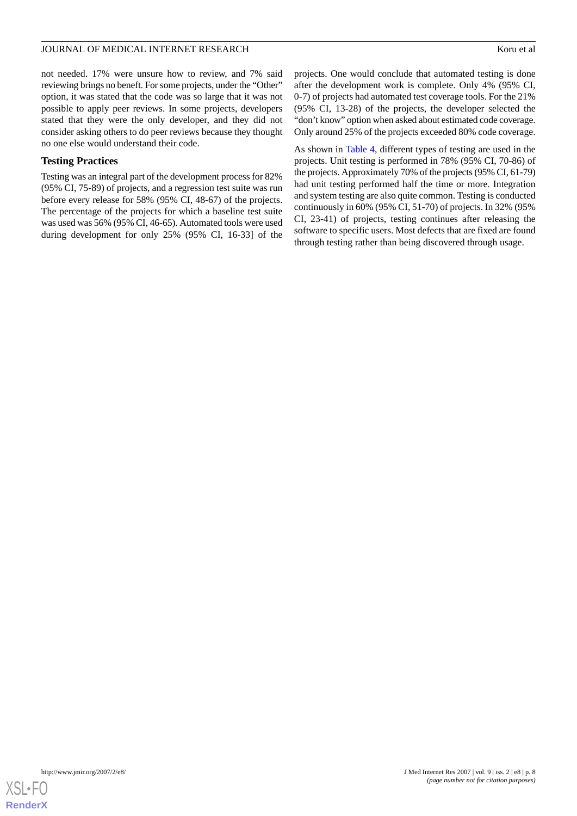not needed. 17% were unsure how to review, and 7% said reviewing brings no beneft. For some projects, under the "Other" option, it was stated that the code was so large that it was not possible to apply peer reviews. In some projects, developers stated that they were the only developer, and they did not consider asking others to do peer reviews because they thought no one else would understand their code.

# **Testing Practices**

Testing was an integral part of the development process for 82% (95% CI, 75-89) of projects, and a regression test suite was run before every release for 58% (95% CI, 48-67) of the projects. The percentage of the projects for which a baseline test suite was used was 56% (95% CI, 46-65). Automated tools were used during development for only 25% (95% CI, 16-33] of the projects. One would conclude that automated testing is done after the development work is complete. Only 4% (95% CI, 0-7) of projects had automated test coverage tools. For the 21% (95% CI, 13-28) of the projects, the developer selected the "don't know" option when asked about estimated code coverage. Only around 25% of the projects exceeded 80% code coverage.

As shown in [Table 4,](#page-8-0) different types of testing are used in the projects. Unit testing is performed in 78% (95% CI, 70-86) of the projects. Approximately 70% of the projects (95% CI, 61-79) had unit testing performed half the time or more. Integration and system testing are also quite common. Testing is conducted continuously in 60% (95% CI, 51-70) of projects. In 32% (95% CI, 23-41) of projects, testing continues after releasing the software to specific users. Most defects that are fixed are found through testing rather than being discovered through usage.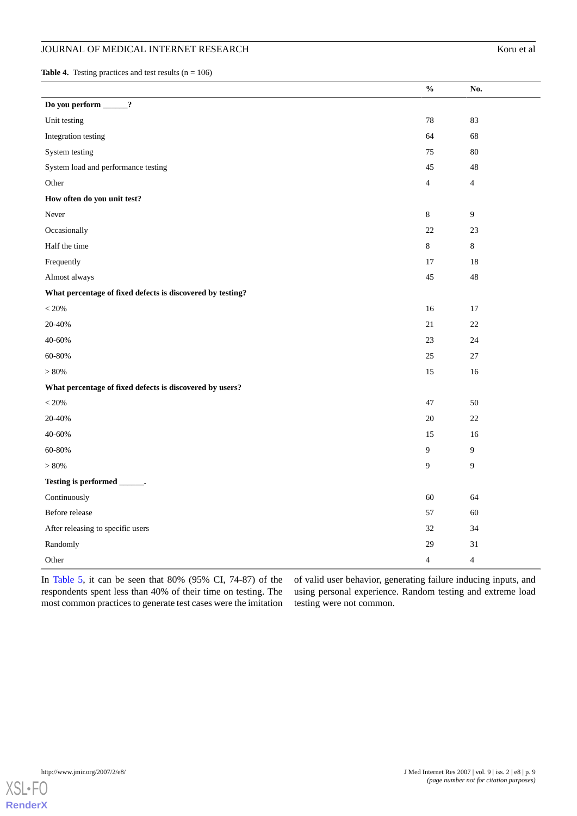<span id="page-8-0"></span>**Table 4.** Testing practices and test results  $(n = 106)$ 

|                                                            | $\mathbf{0}_{\mathbf{0}}^{\prime}$ | No.            |  |  |
|------------------------------------------------------------|------------------------------------|----------------|--|--|
| Do you perform ______?                                     |                                    |                |  |  |
| Unit testing                                               | 78                                 | 83             |  |  |
| Integration testing                                        | 64                                 | 68             |  |  |
| System testing                                             | $75\,$                             | $80\,$         |  |  |
| System load and performance testing                        | 45                                 | 48             |  |  |
| Other                                                      | $\overline{4}$                     | $\overline{4}$ |  |  |
| How often do you unit test?                                |                                    |                |  |  |
| Never                                                      | $\,8\,$                            | 9              |  |  |
| Occasionally                                               | 22                                 | 23             |  |  |
| Half the time                                              | $8\,$                              | $8\,$          |  |  |
| Frequently                                                 | 17                                 | 18             |  |  |
| Almost always                                              | 45                                 | 48             |  |  |
| What percentage of fixed defects is discovered by testing? |                                    |                |  |  |
| $<20\%$                                                    | 16                                 | $17\,$         |  |  |
| 20-40%                                                     | 21                                 | 22             |  |  |
| 40-60%                                                     | 23                                 | 24             |  |  |
| 60-80%                                                     | 25                                 | $27\,$         |  |  |
| $> 80\%$                                                   | 15                                 | 16             |  |  |
| What percentage of fixed defects is discovered by users?   |                                    |                |  |  |
| $<20\%$                                                    | $47\,$                             | 50             |  |  |
| 20-40%                                                     | 20                                 | 22             |  |  |
| 40-60%                                                     | 15                                 | 16             |  |  |
| 60-80%                                                     | 9                                  | 9              |  |  |
| $> 80\%$                                                   | 9                                  | 9              |  |  |
| Testing is performed _______.                              |                                    |                |  |  |
| Continuously                                               | 60                                 | 64             |  |  |
| Before release                                             | 57                                 | 60             |  |  |
| After releasing to specific users                          | 32                                 | 34             |  |  |
| Randomly                                                   | 29                                 | 31             |  |  |
| Other                                                      | $\overline{\mathcal{L}}$           | $\overline{4}$ |  |  |

In [Table 5,](#page-9-0) it can be seen that 80% (95% CI, 74-87) of the respondents spent less than 40% of their time on testing. The most common practices to generate test cases were the imitation of valid user behavior, generating failure inducing inputs, and using personal experience. Random testing and extreme load testing were not common.

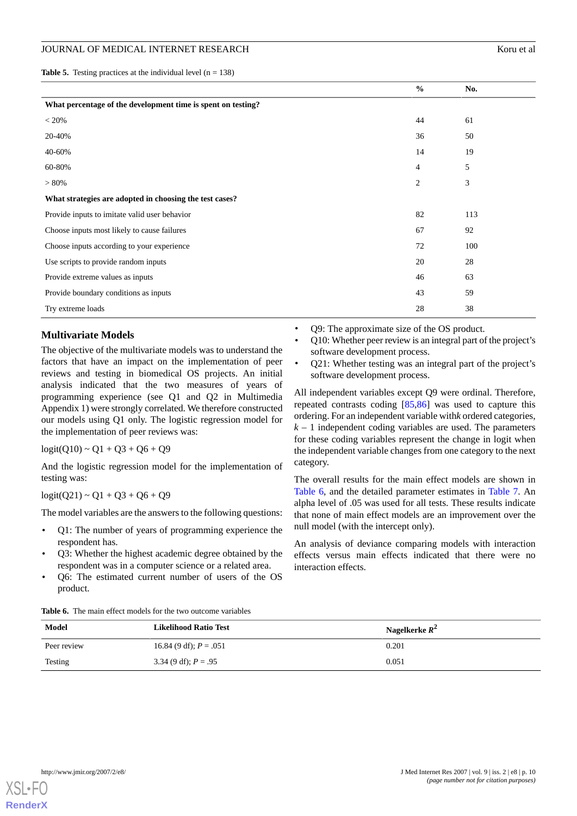<span id="page-9-0"></span>**Table 5.** Testing practices at the individual level  $(n = 138)$ 

|                                                              | $\frac{0}{0}$  | No. |
|--------------------------------------------------------------|----------------|-----|
| What percentage of the development time is spent on testing? |                |     |
| $< 20\%$                                                     | 44             | 61  |
| 20-40%                                                       | 36             | 50  |
| 40-60%                                                       | 14             | 19  |
| 60-80%                                                       | 4              | 5   |
| $> 80\%$                                                     | $\overline{c}$ | 3   |
| What strategies are adopted in choosing the test cases?      |                |     |
| Provide inputs to imitate valid user behavior                | 82             | 113 |
| Choose inputs most likely to cause failures                  | 67             | 92  |
| Choose inputs according to your experience                   | 72             | 100 |
| Use scripts to provide random inputs                         | 20             | 28  |
| Provide extreme values as inputs                             | 46             | 63  |
| Provide boundary conditions as inputs                        | 43             | 59  |
| Try extreme loads                                            | 28             | 38  |

# **Multivariate Models**

The objective of the multivariate models was to understand the factors that have an impact on the implementation of peer reviews and testing in biomedical OS projects. An initial analysis indicated that the two measures of years of programming experience (see Q1 and Q2 in Multimedia Appendix 1) were strongly correlated. We therefore constructed our models using Q1 only. The logistic regression model for the implementation of peer reviews was:

 $logit(Q10) \sim Q1 + Q3 + Q6 + Q9$ 

And the logistic regression model for the implementation of testing was:

 $logit(Q21) \sim Q1 + Q3 + Q6 + Q9$ 

The model variables are the answers to the following questions:

- Q1: The number of years of programming experience the respondent has.
- <span id="page-9-1"></span>• Q3: Whether the highest academic degree obtained by the respondent was in a computer science or a related area.
- Q6: The estimated current number of users of the OS product.

|  |  |  |  | <b>Table 6.</b> The main effect models for the two outcome variables |
|--|--|--|--|----------------------------------------------------------------------|
|--|--|--|--|----------------------------------------------------------------------|

- Q9: The approximate size of the OS product.
- Q10: Whether peer review is an integral part of the project's software development process.
- Q21: Whether testing was an integral part of the project's software development process.

All independent variables except Q9 were ordinal. Therefore, repeated contrasts coding [[85](#page-16-22)[,86](#page-16-23)] was used to capture this ordering. For an independent variable with*k* ordered categories,  $k - 1$  independent coding variables are used. The parameters for these coding variables represent the change in logit when the independent variable changes from one category to the next category.

The overall results for the main effect models are shown in [Table 6](#page-9-1), and the detailed parameter estimates in [Table 7.](#page-10-0) An alpha level of .05 was used for all tests. These results indicate that none of main effect models are an improvement over the null model (with the intercept only).

An analysis of deviance comparing models with interaction effects versus main effects indicated that there were no interaction effects.

| Model       | <b>Likelihood Ratio Test</b> | Nagelkerke $R^2$ |
|-------------|------------------------------|------------------|
| Peer review | 16.84 (9 df); $P = .051$     | 0.201            |
| Testing     | 3.34 (9 df); $P = .95$       | 0.051            |

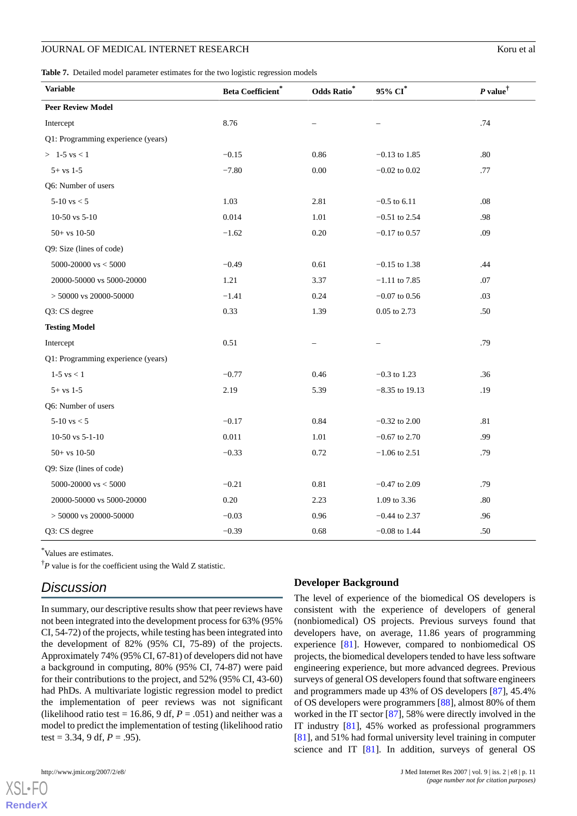### JOURNAL OF MEDICAL INTERNET RESEARCH **EXECUTE:** THE SECOND MOVIE AND MOVIE AT A SECOND MOVIE AT A SECOND MOVIE AT A SECOND MOVIE AT A SECOND MOVIE AT A SECOND MOVIE AT A SECOND MOVIE AT A SECOND MOVIE AT A SECOND MOVIE AT

<span id="page-10-0"></span>**Table 7.** Detailed model parameter estimates for the two logistic regression models

| <b>Variable</b>                                 | Beta $\mathrm{Coefficient}^*$ | Odds $\mathrm{Ratio}^*$ | 95% $CI^*$        | P value <sup>†</sup> |
|-------------------------------------------------|-------------------------------|-------------------------|-------------------|----------------------|
| <b>Peer Review Model</b>                        |                               |                         |                   |                      |
| Intercept                                       | 8.76                          |                         |                   | .74                  |
| Q1: Programming experience (years)              |                               |                         |                   |                      |
| $> 1-5$ vs $< 1$                                | $-0.15$                       | 0.86                    | $-0.13$ to 1.85   | $.80\,$              |
| $5 + vs$ 1-5                                    | $-7.80$                       | 0.00                    | $-0.02$ to $0.02$ | .77                  |
| Q6: Number of users                             |                               |                         |                   |                      |
| $5\negthinspace\negthinspace\relax 10$ vs $< 5$ | 1.03                          | 2.81                    | $-0.5$ to 6.11    | $.08\,$              |
| $10-50$ vs $5-10$                               | 0.014                         | 1.01                    | $-0.51$ to 2.54   | .98                  |
| $50+$ vs 10-50                                  | $-1.62$                       | 0.20                    | $-0.17$ to 0.57   | .09                  |
| Q9: Size (lines of code)                        |                               |                         |                   |                      |
| 5000-20000 vs < 5000                            | $-0.49$                       | 0.61                    | $-0.15$ to 1.38   | .44                  |
| 20000-50000 vs 5000-20000                       | 1.21                          | 3.37                    | $-1.11$ to 7.85   | .07                  |
| $> 50000$ vs 20000-50000                        | $-1.41$                       | 0.24                    | $-0.07$ to 0.56   | .03                  |
| Q3: CS degree                                   | 0.33                          | 1.39                    | $0.05$ to $2.73$  | .50                  |
| <b>Testing Model</b>                            |                               |                         |                   |                      |
| Intercept                                       | 0.51                          |                         |                   | .79                  |
| Q1: Programming experience (years)              |                               |                         |                   |                      |
| $1-5$ vs $< 1$                                  | $-0.77$                       | 0.46                    | $-0.3$ to 1.23    | .36                  |
| $5 + vs$ 1-5                                    | 2.19                          | 5.39                    | $-8.35$ to 19.13  | .19                  |
| Q6: Number of users                             |                               |                         |                   |                      |
| 5-10 $vs < 5$                                   | $-0.17$                       | 0.84                    | $-0.32$ to 2.00   | .81                  |
| 10-50 vs $5-1-10$                               | 0.011                         | 1.01                    | $-0.67$ to 2.70   | .99                  |
| $50+$ vs 10-50                                  | $-0.33$                       | 0.72                    | $-1.06$ to 2.51   | .79                  |
| Q9: Size (lines of code)                        |                               |                         |                   |                      |
| 5000-20000 vs < 5000                            | $-0.21$                       | 0.81                    | $-0.47$ to 2.09   | .79                  |
| 20000-50000 vs 5000-20000                       | 0.20                          | 2.23                    | 1.09 to 3.36      | $.80\,$              |
| $> 50000$ vs 20000-50000                        | $-0.03$                       | 0.96                    | $-0.44$ to 2.37   | .96                  |
| Q3: CS degree                                   | $-0.39$                       | 0.68                    | $-0.08$ to 1.44   | .50                  |

\*Values are estimates.

†*P* value is for the coefficient using the Wald Z statistic.

# *Discussion*

In summary, our descriptive results show that peer reviews have not been integrated into the development process for 63% (95% CI, 54-72) of the projects, while testing has been integrated into the development of 82% (95% CI, 75-89) of the projects. Approximately 74% (95% CI, 67-81) of developers did not have a background in computing, 80% (95% CI, 74-87) were paid for their contributions to the project, and 52% (95% CI, 43-60) had PhDs. A multivariate logistic regression model to predict the implementation of peer reviews was not significant (likelihood ratio test = 16.86, 9 df,  $P = .051$ ) and neither was a model to predict the implementation of testing (likelihood ratio test = 3.34, 9 df,  $P = .95$ ).

# **Developer Background**

The level of experience of the biomedical OS developers is consistent with the experience of developers of general (nonbiomedical) OS projects. Previous surveys found that developers have, on average, 11.86 years of programming experience [\[81](#page-16-18)]. However, compared to nonbiomedical OS projects, the biomedical developers tended to have less software engineering experience, but more advanced degrees. Previous surveys of general OS developers found that software engineers and programmers made up 43% of OS developers [[87\]](#page-16-24), 45.4% of OS developers were programmers [[88\]](#page-16-25), almost 80% of them worked in the IT sector [\[87](#page-16-24)], 58% were directly involved in the IT industry [[81\]](#page-16-18), 45% worked as professional programmers [[81\]](#page-16-18), and 51% had formal university level training in computer science and IT [[81\]](#page-16-18). In addition, surveys of general OS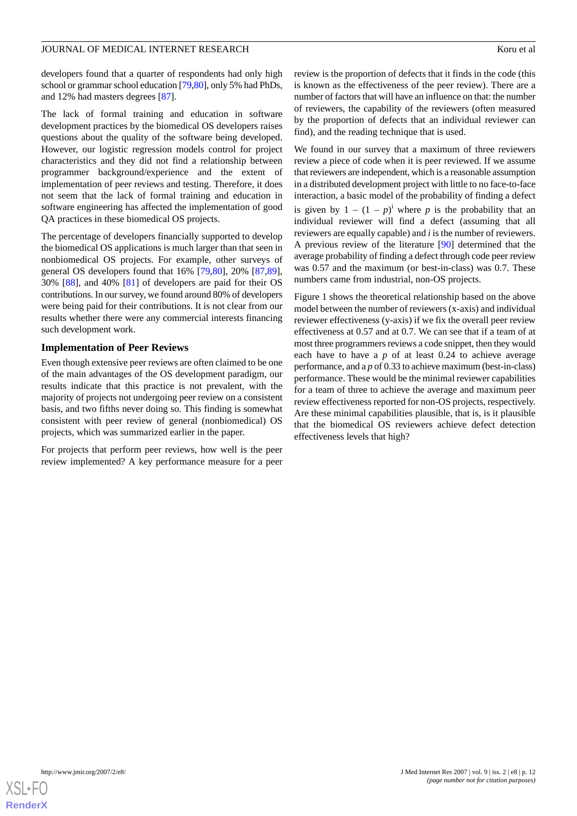developers found that a quarter of respondents had only high school or grammar school education [\[79](#page-16-16)[,80\]](#page-16-17), only 5% had PhDs, and 12% had masters degrees [\[87](#page-16-24)].

The lack of formal training and education in software development practices by the biomedical OS developers raises questions about the quality of the software being developed. However, our logistic regression models control for project characteristics and they did not find a relationship between programmer background/experience and the extent of implementation of peer reviews and testing. Therefore, it does not seem that the lack of formal training and education in software engineering has affected the implementation of good QA practices in these biomedical OS projects.

The percentage of developers financially supported to develop the biomedical OS applications is much larger than that seen in nonbiomedical OS projects. For example, other surveys of general OS developers found that 16% [[79](#page-16-16)[,80](#page-16-17)], 20% [\[87](#page-16-24),[89\]](#page-16-26), 30% [[88\]](#page-16-25), and 40% [\[81](#page-16-18)] of developers are paid for their OS contributions. In our survey, we found around 80% of developers were being paid for their contributions. It is not clear from our results whether there were any commercial interests financing such development work.

# **Implementation of Peer Reviews**

Even though extensive peer reviews are often claimed to be one of the main advantages of the OS development paradigm, our results indicate that this practice is not prevalent, with the majority of projects not undergoing peer review on a consistent basis, and two fifths never doing so. This finding is somewhat consistent with peer review of general (nonbiomedical) OS projects, which was summarized earlier in the paper.

For projects that perform peer reviews, how well is the peer review implemented? A key performance measure for a peer

review is the proportion of defects that it finds in the code (this is known as the effectiveness of the peer review). There are a number of factors that will have an influence on that: the number of reviewers, the capability of the reviewers (often measured by the proportion of defects that an individual reviewer can find), and the reading technique that is used.

We found in our survey that a maximum of three reviewers review a piece of code when it is peer reviewed. If we assume that reviewers are independent, which is a reasonable assumption in a distributed development project with little to no face-to-face interaction, a basic model of the probability of finding a defect is given by  $1 - (1 - p)^{i}$  where p is the probability that an individual reviewer will find a defect (assuming that all reviewers are equally capable) and *i*is the number of reviewers. A previous review of the literature [\[90](#page-17-0)] determined that the average probability of finding a defect through code peer review was 0.57 and the maximum (or best-in-class) was 0.7. These numbers came from industrial, non-OS projects.

Figure 1 shows the theoretical relationship based on the above model between the number of reviewers (x-axis) and individual reviewer effectiveness (y-axis) if we fix the overall peer review effectiveness at 0.57 and at 0.7. We can see that if a team of at most three programmers reviews a code snippet, then they would each have to have a *p* of at least 0.24 to achieve average performance, and a *p* of 0.33 to achieve maximum (best-in-class) performance. These would be the minimal reviewer capabilities for a team of three to achieve the average and maximum peer review effectiveness reported for non-OS projects, respectively. Are these minimal capabilities plausible, that is, is it plausible that the biomedical OS reviewers achieve defect detection effectiveness levels that high?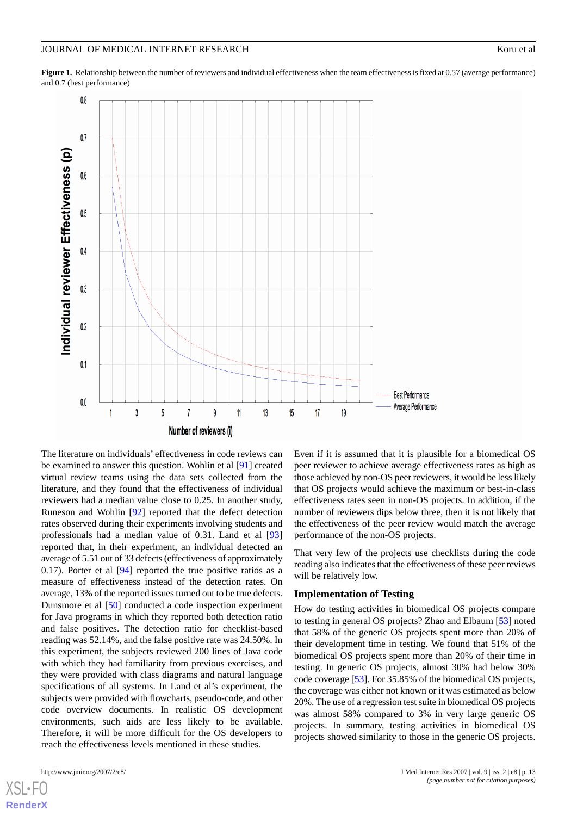**Figure 1.** Relationship between the number of reviewers and individual effectiveness when the team effectiveness is fixed at 0.57 (average performance) and 0.7 (best performance)



The literature on individuals' effectiveness in code reviews can be examined to answer this question. Wohlin et al [[91\]](#page-17-1) created virtual review teams using the data sets collected from the literature, and they found that the effectiveness of individual reviewers had a median value close to 0.25. In another study, Runeson and Wohlin [[92\]](#page-17-2) reported that the defect detection rates observed during their experiments involving students and professionals had a median value of 0.31. Land et al [\[93](#page-17-3)] reported that, in their experiment, an individual detected an average of 5.51 out of 33 defects (effectiveness of approximately 0.17). Porter et al [[94\]](#page-17-4) reported the true positive ratios as a measure of effectiveness instead of the detection rates. On average, 13% of the reported issues turned out to be true defects. Dunsmore et al [[50\]](#page-15-20) conducted a code inspection experiment for Java programs in which they reported both detection ratio and false positives. The detection ratio for checklist-based reading was 52.14%, and the false positive rate was 24.50%. In this experiment, the subjects reviewed 200 lines of Java code with which they had familiarity from previous exercises, and they were provided with class diagrams and natural language specifications of all systems. In Land et al's experiment, the subjects were provided with flowcharts, pseudo-code, and other code overview documents. In realistic OS development environments, such aids are less likely to be available. Therefore, it will be more difficult for the OS developers to reach the effectiveness levels mentioned in these studies.

[XSL](http://www.w3.org/Style/XSL)•FO **[RenderX](http://www.renderx.com/)**

Even if it is assumed that it is plausible for a biomedical OS peer reviewer to achieve average effectiveness rates as high as those achieved by non-OS peer reviewers, it would be less likely that OS projects would achieve the maximum or best-in-class effectiveness rates seen in non-OS projects. In addition, if the number of reviewers dips below three, then it is not likely that the effectiveness of the peer review would match the average performance of the non-OS projects.

That very few of the projects use checklists during the code reading also indicates that the effectiveness of these peer reviews will be relatively low.

#### **Implementation of Testing**

How do testing activities in biomedical OS projects compare to testing in general OS projects? Zhao and Elbaum [[53\]](#page-15-23) noted that 58% of the generic OS projects spent more than 20% of their development time in testing. We found that 51% of the biomedical OS projects spent more than 20% of their time in testing. In generic OS projects, almost 30% had below 30% code coverage [[53\]](#page-15-23). For 35.85% of the biomedical OS projects, the coverage was either not known or it was estimated as below 20%. The use of a regression test suite in biomedical OS projects was almost 58% compared to 3% in very large generic OS projects. In summary, testing activities in biomedical OS projects showed similarity to those in the generic OS projects.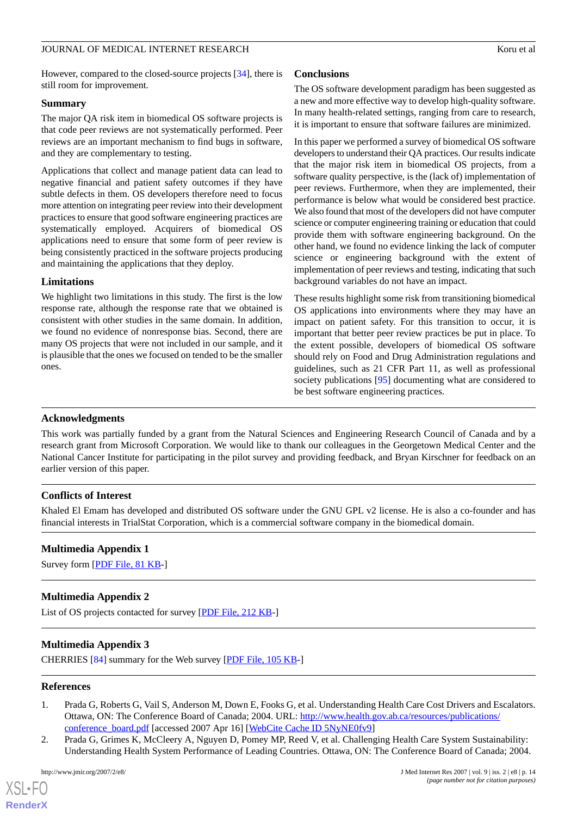However, compared to the closed-source projects [\[34](#page-15-4)], there is still room for improvement.

### **Summary**

The major QA risk item in biomedical OS software projects is that code peer reviews are not systematically performed. Peer reviews are an important mechanism to find bugs in software, and they are complementary to testing.

Applications that collect and manage patient data can lead to negative financial and patient safety outcomes if they have subtle defects in them. OS developers therefore need to focus more attention on integrating peer review into their development practices to ensure that good software engineering practices are systematically employed. Acquirers of biomedical OS applications need to ensure that some form of peer review is being consistently practiced in the software projects producing and maintaining the applications that they deploy.

# **Limitations**

We highlight two limitations in this study. The first is the low response rate, although the response rate that we obtained is consistent with other studies in the same domain. In addition, we found no evidence of nonresponse bias. Second, there are many OS projects that were not included in our sample, and it is plausible that the ones we focused on tended to be the smaller ones.

# **Conclusions**

The OS software development paradigm has been suggested as a new and more effective way to develop high-quality software. In many health-related settings, ranging from care to research, it is important to ensure that software failures are minimized.

In this paper we performed a survey of biomedical OS software developers to understand their QA practices. Our results indicate that the major risk item in biomedical OS projects, from a software quality perspective, is the (lack of) implementation of peer reviews. Furthermore, when they are implemented, their performance is below what would be considered best practice. We also found that most of the developers did not have computer science or computer engineering training or education that could provide them with software engineering background. On the other hand, we found no evidence linking the lack of computer science or engineering background with the extent of implementation of peer reviews and testing, indicating that such background variables do not have an impact.

These results highlight some risk from transitioning biomedical OS applications into environments where they may have an impact on patient safety. For this transition to occur, it is important that better peer review practices be put in place. To the extent possible, developers of biomedical OS software should rely on Food and Drug Administration regulations and guidelines, such as 21 CFR Part 11, as well as professional society publications [[95\]](#page-17-5) documenting what are considered to be best software engineering practices.

# **Acknowledgments**

This work was partially funded by a grant from the Natural Sciences and Engineering Research Council of Canada and by a research grant from Microsoft Corporation. We would like to thank our colleagues in the Georgetown Medical Center and the National Cancer Institute for participating in the pilot survey and providing feedback, and Bryan Kirschner for feedback on an earlier version of this paper.

# **Conflicts of Interest**

Khaled El Emam has developed and distributed OS software under the GNU GPL v2 license. He is also a co-founder and has financial interests in TrialStat Corporation, which is a commercial software company in the biomedical domain.

# **Multimedia Appendix 1**

Survey form [\[PDF File, 81 KB](https://jmir.org/api/download?alt_name=jmir_v9i2e8_app1.pdf&filename=d0512f1b4a5ebd6349c77260b43d12e8.pdf)-]

# **Multimedia Appendix 2**

List of OS projects contacted for survey [\[PDF File, 212 KB-](https://jmir.org/api/download?alt_name=jmir_v9i2e8_app2.pdf&filename=57d1e4c064245907df637a9dd5599aad.pdf)]

# <span id="page-13-0"></span>**Multimedia Appendix 3**

<span id="page-13-1"></span>CHERRIES [[84\]](#page-16-21) summary for the Web survey [[PDF File, 105 KB-](https://jmir.org/api/download?alt_name=jmir_v9i2e8_app3.pdf&filename=b5dc89e552db3650af870ea10b460c64.pdf)]

# **References**

- 1. Prada G, Roberts G, Vail S, Anderson M, Down E, Fooks G, et al. Understanding Health Care Cost Drivers and Escalators. Ottawa, ON: The Conference Board of Canada; 2004. URL: [http://www.health.gov.ab.ca/resources/publications/](http://www.health.gov.ab.ca/resources/publications/conference_board.pdf) [conference\\_board.pdf](http://www.health.gov.ab.ca/resources/publications/conference_board.pdf) [accessed 2007 Apr 16] [[WebCite Cache ID 5NyNE0fv9\]](http://www.webcitation.org/

                                    5NyNE0fv9)
- 2. Prada G, Grimes K, McCleery A, Nguyen D, Pomey MP, Reed V, et al. Challenging Health Care System Sustainability: Understanding Health System Performance of Leading Countries. Ottawa, ON: The Conference Board of Canada; 2004.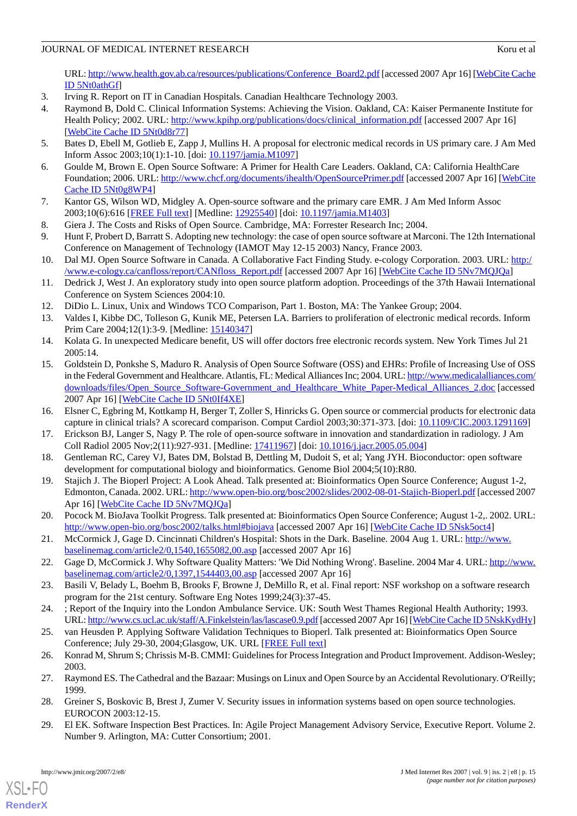# JOURNAL OF MEDICAL INTERNET RESEARCH SERVICES AND RESEARCH Koru et al.

URL: [http://www.health.gov.ab.ca/resources/publications/Conference\\_Board2.pdf](http://www.health.gov.ab.ca/resources/publications/Conference_Board2.pdf) [accessed 2007 Apr 16] [[WebCite Cache](http://www.webcitation.org/

                                    5Nt0athGf) [ID 5Nt0athGf](http://www.webcitation.org/

                                    5Nt0athGf)]

- <span id="page-14-1"></span><span id="page-14-0"></span>3. Irving R. Report on IT in Canadian Hospitals. Canadian Healthcare Technology 2003.
- 4. Raymond B, Dold C. Clinical Information Systems: Achieving the Vision. Oakland, CA: Kaiser Permanente Institute for Health Policy; 2002. URL: [http://www.kpihp.org/publications/docs/clinical\\_information.pdf](http://www.kpihp.org/publications/docs/clinical_information.pdf) [accessed 2007 Apr 16] [[WebCite Cache ID 5Nt0d8r77\]](http://www.webcitation.org/

                                    5Nt0d8r77)
- <span id="page-14-3"></span><span id="page-14-2"></span>5. Bates D, Ebell M, Gotlieb E, Zapp J, Mullins H. A proposal for electronic medical records in US primary care. J Am Med Inform Assoc 2003;10(1):1-10. [doi: [10.1197/jamia.M1097\]](http://dx.doi.org/10.1197/jamia.M1097)
- <span id="page-14-4"></span>6. Goulde M, Brown E. Open Source Software: A Primer for Health Care Leaders. Oakland, CA: California HealthCare Foundation; 2006. URL:<http://www.chcf.org/documents/ihealth/OpenSourcePrimer.pdf> [accessed 2007 Apr 16] [\[WebCite](http://www.webcitation.org/

                                    5Nt0g8WP4) [Cache ID 5Nt0g8WP4](http://www.webcitation.org/

                                    5Nt0g8WP4)]
- 7. Kantor GS, Wilson WD, Midgley A. Open-source software and the primary care EMR. J Am Med Inform Assoc 2003;10(6):616 [[FREE Full text\]](http://www.pubmedcentral.nih.gov/articlerender.fcgi?tool=pubmed&pubmedid=12925540) [Medline: [12925540\]](http://www.ncbi.nlm.nih.gov/entrez/query.fcgi?cmd=Retrieve&db=PubMed&list_uids=12925540&dopt=Abstract) [doi: [10.1197/jamia.M1403\]](http://dx.doi.org/10.1197/jamia.M1403)
- 8. Giera J. The Costs and Risks of Open Source. Cambridge, MA: Forrester Research Inc; 2004.
- 9. Hunt F, Probert D, Barratt S. Adopting new technology: the case of open source software at Marconi. The 12th International Conference on Management of Technology (IAMOT May 12-15 2003) Nancy, France 2003.
- 10. Dal MJ. Open Source Software in Canada. A Collaborative Fact Finding Study. e-cology Corporation. 2003. URL: [http:/](http://www.e-cology.ca/canfloss/report/CANfloss_Report.pdf) [/www.e-cology.ca/canfloss/report/CANfloss\\_Report.pdf](http://www.e-cology.ca/canfloss/report/CANfloss_Report.pdf) [accessed 2007 Apr 16] [[WebCite Cache ID 5Nv7MQJQa](http://www.webcitation.org/

                                    5Nv7MQJQa)]
- <span id="page-14-8"></span><span id="page-14-7"></span>11. Dedrick J, West J. An exploratory study into open source platform adoption. Proceedings of the 37th Hawaii International Conference on System Sciences 2004:10.
- <span id="page-14-9"></span>12. DiDio L. Linux, Unix and Windows TCO Comparison, Part 1. Boston, MA: The Yankee Group; 2004.
- <span id="page-14-10"></span>13. Valdes I, Kibbe DC, Tolleson G, Kunik ME, Petersen LA. Barriers to proliferation of electronic medical records. Inform Prim Care 2004;12(1):3-9. [Medline: [15140347](http://www.ncbi.nlm.nih.gov/entrez/query.fcgi?cmd=Retrieve&db=PubMed&list_uids=15140347&dopt=Abstract)]
- 14. Kolata G. In unexpected Medicare benefit, US will offer doctors free electronic records system. New York Times Jul 21 2005:14.
- <span id="page-14-11"></span>15. Goldstein D, Ponkshe S, Maduro R. Analysis of Open Source Software (OSS) and EHRs: Profile of Increasing Use of OSS in the Federal Government and Healthcare. Atlantis, FL: Medical Alliances Inc; 2004. URL: [http://www.medicalalliances.com/](http://www.medicalalliances.com/downloads/files/Open_Source_Software-Government_and_Healthcare_White_Paper-Medical_Alliances_2.doc) [downloads/files/Open\\_Source\\_Software-Government\\_and\\_Healthcare\\_White\\_Paper-Medical\\_Alliances\\_2.doc](http://www.medicalalliances.com/downloads/files/Open_Source_Software-Government_and_Healthcare_White_Paper-Medical_Alliances_2.doc) [accessed 2007 Apr 16] [\[WebCite Cache ID 5Nt0If4XE](http://www.webcitation.org/

                                    5Nt0If4XE)]
- <span id="page-14-12"></span>16. Elsner C, Egbring M, Kottkamp H, Berger T, Zoller S, Hinricks G. Open source or commercial products for electronic data capture in clinical trials? A scorecard comparison. Comput Cardiol 2003;30:371-373. [doi: [10.1109/CIC.2003.1291169](http://dx.doi.org/10.1109/CIC.2003.1291169)]
- 17. Erickson BJ, Langer S, Nagy P. The role of open-source software in innovation and standardization in radiology. J Am Coll Radiol 2005 Nov;2(11):927-931. [Medline: [17411967](http://www.ncbi.nlm.nih.gov/entrez/query.fcgi?cmd=Retrieve&db=PubMed&list_uids=17411967&dopt=Abstract)] [doi: [10.1016/j.jacr.2005.05.004](http://dx.doi.org/10.1016/j.jacr.2005.05.004)]
- 18. Gentleman RC, Carey VJ, Bates DM, Bolstad B, Dettling M, Dudoit S, et al; Yang JYH. Bioconductor: open software development for computational biology and bioinformatics. Genome Biol 2004;5(10):R80.
- <span id="page-14-5"></span>19. Stajich J. The Bioperl Project: A Look Ahead. Talk presented at: Bioinformatics Open Source Conference; August 1-2, Edmonton, Canada. 2002. URL:<http://www.open-bio.org/bosc2002/slides/2002-08-01-Stajich-Bioperl.pdf> [accessed 2007 Apr 16] [[WebCite Cache ID 5Nv7MQJQa](http://www.webcitation.org/

                                    5Nv7MQJQa)]
- 20. Pocock M. BioJava Toolkit Progress. Talk presented at: Bioinformatics Open Source Conference; August 1-2,. 2002. URL: <http://www.open-bio.org/bosc2002/talks.html#biojava> [accessed 2007 Apr 16] [[WebCite Cache ID 5Nsk5oct4\]](http://www.webcitation.org/

                                    5Nsk5oct4)
- <span id="page-14-6"></span>21. McCormick J, Gage D. Cincinnati Children's Hospital: Shots in the Dark. Baseline. 2004 Aug 1. URL: [http://www.](http://www.baselinemag.com/article2/0,1540,1655082,00.asp) [baselinemag.com/article2/0,1540,1655082,00.asp](http://www.baselinemag.com/article2/0,1540,1655082,00.asp) [accessed 2007 Apr 16]
- <span id="page-14-13"></span>22. Gage D, McCormick J. Why Software Quality Matters: 'We Did Nothing Wrong'. Baseline. 2004 Mar 4. URL: [http://www.](http://www.baselinemag.com/article2/0,1397,1544403,00.asp) [baselinemag.com/article2/0,1397,1544403,00.asp](http://www.baselinemag.com/article2/0,1397,1544403,00.asp) [accessed 2007 Apr 16]
- <span id="page-14-14"></span>23. Basili V, Belady L, Boehm B, Brooks F, Browne J, DeMillo R, et al. Final report: NSF workshop on a software research program for the 21st century. Software Eng Notes 1999;24(3):37-45.
- <span id="page-14-15"></span>24. ; Report of the Inquiry into the London Ambulance Service. UK: South West Thames Regional Health Authority; 1993. URL:<http://www.cs.ucl.ac.uk/staff/A.Finkelstein/las/lascase0.9.pdf> [accessed 2007 Apr 16] [\[WebCite Cache ID 5NskKydHy\]](http://www.webcitation.org/

                                    5NskKydHy)
- <span id="page-14-16"></span>25. van Heusden P. Applying Software Validation Techniques to Bioperl. Talk presented at: Bioinformatics Open Source Conference; July 29-30, 2004;Glasgow, UK. URL [\[FREE Full text\]](http://www.open-bio.org/bosc2004/presentations/Heusden_SW_validation_BOSC_2004.pdf)
- <span id="page-14-17"></span>26. Konrad M, Shrum S; Chrissis M-B. CMMI: Guidelines for Process Integration and Product Improvement. Addison-Wesley; 2003.
- 27. Raymond ES. The Cathedral and the Bazaar: Musings on Linux and Open Source by an Accidental Revolutionary. O'Reilly; 1999.
- 28. Greiner S, Boskovic B, Brest J, Zumer V. Security issues in information systems based on open source technologies. EUROCON 2003:12-15.
- 29. El EK. Software Inspection Best Practices. In: Agile Project Management Advisory Service, Executive Report. Volume 2. Number 9. Arlington, MA: Cutter Consortium; 2001.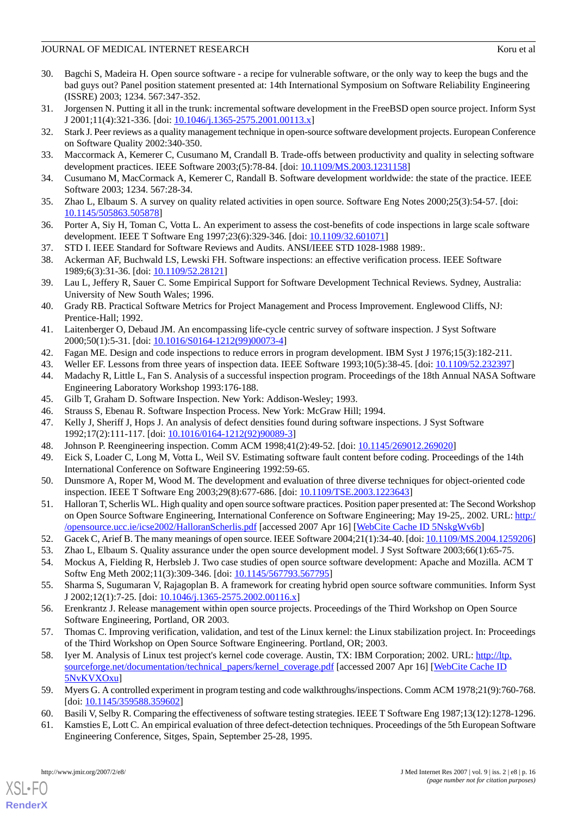# JOURNAL OF MEDICAL INTERNET RESEARCH SERVICES AND RESEARCH Koru et al.

- <span id="page-15-0"></span>30. Bagchi S, Madeira H. Open source software - a recipe for vulnerable software, or the only way to keep the bugs and the bad guys out? Panel position statement presented at: 14th International Symposium on Software Reliability Engineering (ISSRE) 2003; 1234. 567:347-352.
- <span id="page-15-2"></span><span id="page-15-1"></span>31. Jorgensen N. Putting it all in the trunk: incremental software development in the FreeBSD open source project. Inform Syst J 2001;11(4):321-336. [doi: [10.1046/j.1365-2575.2001.00113.x](http://dx.doi.org/10.1046/j.1365-2575.2001.00113.x)]
- <span id="page-15-3"></span>32. Stark J. Peer reviews as a quality management technique in open-source software development projects. European Conference on Software Quality 2002:340-350.
- <span id="page-15-4"></span>33. Maccormack A, Kemerer C, Cusumano M, Crandall B. Trade-offs between productivity and quality in selecting software development practices. IEEE Software 2003;(5):78-84. [doi: [10.1109/MS.2003.1231158](http://dx.doi.org/10.1109/MS.2003.1231158)]
- <span id="page-15-5"></span>34. Cusumano M, MacCormack A, Kemerer C, Randall B. Software development worldwide: the state of the practice. IEEE Software 2003; 1234. 567:28-34.
- <span id="page-15-6"></span>35. Zhao L, Elbaum S. A survey on quality related activities in open source. Software Eng Notes 2000;25(3):54-57. [doi: [10.1145/505863.505878](http://dx.doi.org/10.1145/505863.505878)]
- <span id="page-15-8"></span><span id="page-15-7"></span>36. Porter A, Siy H, Toman C, Votta L. An experiment to assess the cost-benefits of code inspections in large scale software development. IEEE T Software Eng 1997;23(6):329-346. [doi: [10.1109/32.601071](http://dx.doi.org/10.1109/32.601071)]
- 37. STD I. IEEE Standard for Software Reviews and Audits. ANSI/IEEE STD 1028-1988 1989:.
- <span id="page-15-9"></span>38. Ackerman AF, Buchwald LS, Lewski FH. Software inspections: an effective verification process. IEEE Software 1989;6(3):31-36. [doi: [10.1109/52.28121](http://dx.doi.org/10.1109/52.28121)]
- <span id="page-15-10"></span>39. Lau L, Jeffery R, Sauer C. Some Empirical Support for Software Development Technical Reviews. Sydney, Australia: University of New South Wales; 1996.
- <span id="page-15-12"></span><span id="page-15-11"></span>40. Grady RB. Practical Software Metrics for Project Management and Process Improvement. Englewood Cliffs, NJ: Prentice-Hall; 1992.
- <span id="page-15-14"></span><span id="page-15-13"></span>41. Laitenberger O, Debaud JM. An encompassing life-cycle centric survey of software inspection. J Syst Software 2000;50(1):5-31. [doi: [10.1016/S0164-1212\(99\)00073-4\]](http://dx.doi.org/10.1016/S0164-1212(99)00073-4)
- 42. Fagan ME. Design and code inspections to reduce errors in program development. IBM Syst J 1976;15(3):182-211.
- <span id="page-15-16"></span><span id="page-15-15"></span>43. Weller EF. Lessons from three years of inspection data. IEEE Software 1993;10(5):38-45. [doi: [10.1109/52.232397\]](http://dx.doi.org/10.1109/52.232397)
- <span id="page-15-17"></span>44. Madachy R, Little L, Fan S. Analysis of a successful inspection program. Proceedings of the 18th Annual NASA Software Engineering Laboratory Workshop 1993:176-188.
- <span id="page-15-18"></span>45. Gilb T, Graham D. Software Inspection. New York: Addison-Wesley; 1993.
- <span id="page-15-19"></span>46. Strauss S, Ebenau R. Software Inspection Process. New York: McGraw Hill; 1994.
- <span id="page-15-20"></span>47. Kelly J, Sheriff J, Hops J. An analysis of defect densities found during software inspections. J Syst Software 1992;17(2):111-117. [doi: [10.1016/0164-1212\(92\)90089-3](http://dx.doi.org/10.1016/0164-1212(92)90089-3)]
- 48. Johnson P. Reengineering inspection. Comm ACM 1998;41(2):49-52. [doi: [10.1145/269012.269020\]](http://dx.doi.org/10.1145/269012.269020)
- <span id="page-15-21"></span>49. Eick S, Loader C, Long M, Votta L, Weil SV. Estimating software fault content before coding. Proceedings of the 14th International Conference on Software Engineering 1992:59-65.
- <span id="page-15-22"></span>50. Dunsmore A, Roper M, Wood M. The development and evaluation of three diverse techniques for object-oriented code inspection. IEEE T Software Eng 2003;29(8):677-686. [doi: [10.1109/TSE.2003.1223643](http://dx.doi.org/10.1109/TSE.2003.1223643)]
- <span id="page-15-24"></span><span id="page-15-23"></span>51. Halloran T, Scherlis WL. High quality and open source software practices. Position paper presented at: The Second Workshop on Open Source Software Engineering, International Conference on Software Engineering; May 19-25,. 2002. URL: [http:/](http://opensource.ucc.ie/icse2002/HalloranScherlis.pdf) [/opensource.ucc.ie/icse2002/HalloranScherlis.pdf](http://opensource.ucc.ie/icse2002/HalloranScherlis.pdf) [accessed 2007 Apr 16] [\[WebCite Cache ID 5NskgWv6b](http://www.webcitation.org/

                                    5NskgWv6b)]
- <span id="page-15-25"></span>52. Gacek C, Arief B. The many meanings of open source. IEEE Software 2004;21(1):34-40. [doi: [10.1109/MS.2004.1259206](http://dx.doi.org/10.1109/MS.2004.1259206)]
- <span id="page-15-26"></span>53. Zhao L, Elbaum S. Quality assurance under the open source development model. J Syst Software 2003;66(1):65-75.
- <span id="page-15-27"></span>54. Mockus A, Fielding R, Herbsleb J. Two case studies of open source software development: Apache and Mozilla. ACM T Softw Eng Meth 2002;11(3):309-346. [doi: [10.1145/567793.567795\]](http://dx.doi.org/10.1145/567793.567795)
- <span id="page-15-28"></span>55. Sharma S, Sugumaran V, Rajagoplan B. A framework for creating hybrid open source software communities. Inform Syst J 2002;12(1):7-25. [doi: [10.1046/j.1365-2575.2002.00116.x](http://dx.doi.org/10.1046/j.1365-2575.2002.00116.x)]
- 56. Erenkrantz J. Release management within open source projects. Proceedings of the Third Workshop on Open Source Software Engineering, Portland, OR 2003.
- <span id="page-15-29"></span>57. Thomas C. Improving verification, validation, and test of the Linux kernel: the Linux stabilization project. In: Proceedings of the Third Workshop on Open Source Software Engineering. Portland, OR; 2003.
- 58. Iyer M. Analysis of Linux test project's kernel code coverage. Austin, TX: IBM Corporation; 2002. URL: [http://ltp.](http://ltp.sourceforge.net/documentation/technical_papers/kernel_coverage.pdf) [sourceforge.net/documentation/technical\\_papers/kernel\\_coverage.pdf](http://ltp.sourceforge.net/documentation/technical_papers/kernel_coverage.pdf) [accessed 2007 Apr 16] [[WebCite Cache ID](http://www.webcitation.org/

                                    5NvKVXOxu) [5NvKVXOxu\]](http://www.webcitation.org/

                                    5NvKVXOxu)
- 59. Myers G. A controlled experiment in program testing and code walkthroughs/inspections. Comm ACM 1978;21(9):760-768. [doi: [10.1145/359588.359602\]](http://dx.doi.org/10.1145/359588.359602)
- 60. Basili V, Selby R. Comparing the effectiveness of software testing strategies. IEEE T Software Eng 1987;13(12):1278-1296.
- 61. Kamsties E, Lott C. An empirical evaluation of three defect-detection techniques. Proceedings of the 5th European Software Engineering Conference, Sitges, Spain, September 25-28, 1995.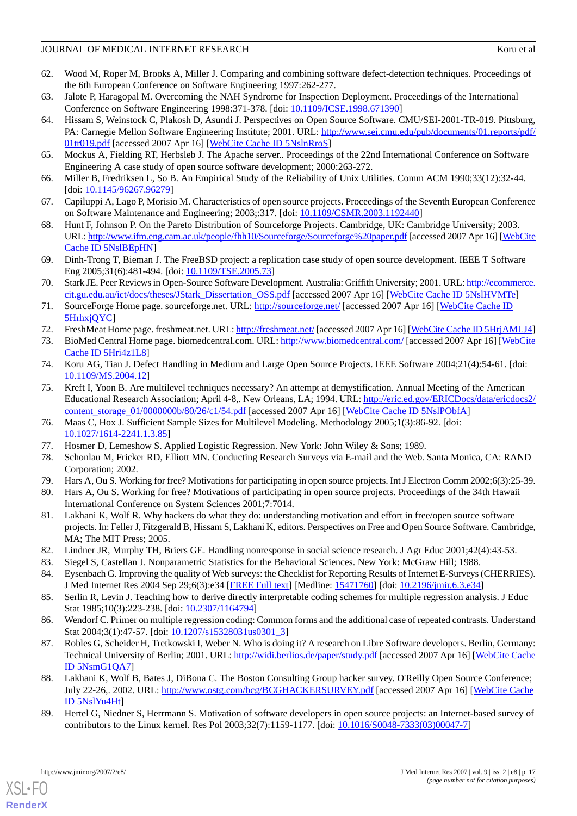# JOURNAL OF MEDICAL INTERNET RESEARCH SERVICES AND RESEARCH Koru et al.

- 62. Wood M, Roper M, Brooks A, Miller J. Comparing and combining software defect-detection techniques. Proceedings of the 6th European Conference on Software Engineering 1997:262-277.
- <span id="page-16-1"></span><span id="page-16-0"></span>63. Jalote P, Haragopal M. Overcoming the NAH Syndrome for Inspection Deployment. Proceedings of the International Conference on Software Engineering 1998:371-378. [doi: [10.1109/ICSE.1998.671390\]](http://dx.doi.org/10.1109/ICSE.1998.671390)
- 64. Hissam S, Weinstock C, Plakosh D, Asundi J. Perspectives on Open Source Software. CMU/SEI-2001-TR-019. Pittsburg, PA: Carnegie Mellon Software Engineering Institute; 2001. URL: [http://www.sei.cmu.edu/pub/documents/01.reports/pdf/](http://www.sei.cmu.edu/pub/documents/01.reports/pdf/01tr019.pdf) [01tr019.pdf](http://www.sei.cmu.edu/pub/documents/01.reports/pdf/01tr019.pdf) [accessed 2007 Apr 16] [\[WebCite Cache ID 5NslnRroS\]](http://www.webcitation.org/

                                    5NslnRroS)
- <span id="page-16-3"></span><span id="page-16-2"></span>65. Mockus A, Fielding RT, Herbsleb J. The Apache server.. Proceedings of the 22nd International Conference on Software Engineering A case study of open source software development; 2000:263-272.
- <span id="page-16-4"></span>66. Miller B, Fredriksen L, So B. An Empirical Study of the Reliability of Unix Utilities. Comm ACM 1990;33(12):32-44. [doi: [10.1145/96267.96279\]](http://dx.doi.org/10.1145/96267.96279)
- <span id="page-16-5"></span>67. Capiluppi A, Lago P, Morisio M. Characteristics of open source projects. Proceedings of the Seventh European Conference on Software Maintenance and Engineering; 2003;:317. [doi: [10.1109/CSMR.2003.1192440\]](http://dx.doi.org/10.1109/CSMR.2003.1192440)
- <span id="page-16-6"></span>68. Hunt F, Johnson P. On the Pareto Distribution of Sourceforge Projects. Cambridge, UK: Cambridge University; 2003. URL:<http://www.ifm.eng.cam.ac.uk/people/fhh10/Sourceforge/Sourceforge%20paper.pdf> [accessed 2007 Apr 16] [[WebCite](http://www.webcitation.org/

                                    5NslBEpHN) [Cache ID 5NslBEpHN](http://www.webcitation.org/

                                    5NslBEpHN)]
- <span id="page-16-7"></span>69. Dinh-Trong T, Bieman J. The FreeBSD project: a replication case study of open source development. IEEE T Software Eng 2005;31(6):481-494. [doi: [10.1109/TSE.2005.73](http://dx.doi.org/10.1109/TSE.2005.73)]
- <span id="page-16-8"></span>70. Stark JE. Peer Reviews in Open-Source Software Development. Australia: Griffith University; 2001. URL: [http://ecommerce.](http://ecommerce.cit.gu.edu.au/ict/docs/theses/JStark_Dissertation_OSS.pdf) [cit.gu.edu.au/ict/docs/theses/JStark\\_Dissertation\\_OSS.pdf](http://ecommerce.cit.gu.edu.au/ict/docs/theses/JStark_Dissertation_OSS.pdf) [accessed 2007 Apr 16] [\[WebCite Cache ID 5NslHVMTe](http://www.webcitation.org/

                                    5NslHVMTe)]
- <span id="page-16-10"></span><span id="page-16-9"></span>71. SourceForge Home page. sourceforge.net. URL: <http://sourceforge.net/> [accessed 2007 Apr 16] [\[WebCite Cache ID](http://www.webcitation.org/

                                    5HrhxjQYC) [5HrhxjQYC\]](http://www.webcitation.org/

                                    5HrhxjQYC)
- <span id="page-16-11"></span>72. FreshMeat Home page. freshmeat.net. URL:<http://freshmeat.net/> [accessed 2007 Apr 16] [\[WebCite Cache ID 5HrjAMLJ4](http://www.webcitation.org/

                                    5HrjAMLJ4)]
- <span id="page-16-12"></span>73. BioMed Central Home page. biomedcentral.com. URL: <http://www.biomedcentral.com/> [accessed 2007 Apr 16] [\[WebCite](http://www.webcitation.org/

                                    5Hri4z1L8) [Cache ID 5Hri4z1L8\]](http://www.webcitation.org/

                                    5Hri4z1L8)
- 74. Koru AG, Tian J. Defect Handling in Medium and Large Open Source Projects. IEEE Software 2004;21(4):54-61. [doi: [10.1109/MS.2004.12](http://dx.doi.org/10.1109/MS.2004.12)]
- <span id="page-16-14"></span><span id="page-16-13"></span>75. Kreft I, Yoon B. Are multilevel techniques necessary? An attempt at demystification. Annual Meeting of the American Educational Research Association; April 4-8,. New Orleans, LA; 1994. URL: [http://eric.ed.gov/ERICDocs/data/ericdocs2/](http://eric.ed.gov/ERICDocs/data/ericdocs2/content_storage_01/0000000b/80/26/c1/54.pdf) content\_storage\_01/000000b/80/26/c1/54.pdf [accessed 2007 Apr 16] [\[WebCite Cache ID 5NslPObfA](http://www.webcitation.org/

                                    5NslPObfA)]
- <span id="page-16-16"></span><span id="page-16-15"></span>76. Maas C, Hox J. Sufficient Sample Sizes for Multilevel Modeling. Methodology 2005;1(3):86-92. [doi: [10.1027/1614-2241.1.3.85\]](http://dx.doi.org/10.1027/1614-2241.1.3.85)
- <span id="page-16-17"></span>77. Hosmer D, Lemeshow S. Applied Logistic Regression. New York: John Wiley & Sons; 1989.
- <span id="page-16-18"></span>78. Schonlau M, Fricker RD, Elliott MN. Conducting Research Surveys via E-mail and the Web. Santa Monica, CA: RAND Corporation; 2002.
- 79. Hars A, Ou S. Working for free? Motivations for participating in open source projects. Int J Electron Comm 2002;6(3):25-39.
- <span id="page-16-19"></span>80. Hars A, Ou S. Working for free? Motivations of participating in open source projects. Proceedings of the 34th Hawaii International Conference on System Sciences 2001;7:7014.
- <span id="page-16-21"></span><span id="page-16-20"></span>81. Lakhani K, Wolf R. Why hackers do what they do: understanding motivation and effort in free/open source software projects. In: Feller J, Fitzgerald B, Hissam S, Lakhani K, editors. Perspectives on Free and Open Source Software. Cambridge, MA; The MIT Press; 2005.
- <span id="page-16-22"></span>82. Lindner JR, Murphy TH, Briers GE. Handling nonresponse in social science research. J Agr Educ 2001;42(4):43-53.
- <span id="page-16-23"></span>83. Siegel S, Castellan J. Nonparametric Statistics for the Behavioral Sciences. New York: McGraw Hill; 1988.
- <span id="page-16-24"></span>84. Eysenbach G. Improving the quality of Web surveys: the Checklist for Reporting Results of Internet E-Surveys (CHERRIES). J Med Internet Res 2004 Sep 29;6(3):e34 [\[FREE Full text\]](http://www.jmir.org/2004/3/e34/) [Medline: [15471760\]](http://www.ncbi.nlm.nih.gov/entrez/query.fcgi?cmd=Retrieve&db=PubMed&list_uids=15471760&dopt=Abstract) [doi: [10.2196/jmir.6.3.e34](http://dx.doi.org/10.2196/jmir.6.3.e34)]
- 85. Serlin R, Levin J. Teaching how to derive directly interpretable coding schemes for multiple regression analysis. J Educ Stat 1985;10(3):223-238. [doi: [10.2307/1164794\]](http://dx.doi.org/10.2307/1164794)
- <span id="page-16-25"></span>86. Wendorf C. Primer on multiple regression coding: Common forms and the additional case of repeated contrasts. Understand Stat 2004;3(1):47-57. [doi: [10.1207/s15328031us0301\\_3\]](http://dx.doi.org/10.1207/s15328031us0301_3)
- <span id="page-16-26"></span>87. Robles G, Scheider H, Tretkowski I, Weber N. Who is doing it? A research on Libre Software developers. Berlin, Germany: Technical University of Berlin; 2001. URL: <http://widi.berlios.de/paper/study.pdf> [accessed 2007 Apr 16] [[WebCite Cache](http://www.webcitation.org/

                                    5NsmG1QA7) [ID 5NsmG1QA7](http://www.webcitation.org/

                                    5NsmG1QA7)]
- 88. Lakhani K, Wolf B, Bates J, DiBona C. The Boston Consulting Group hacker survey. O'Reilly Open Source Conference; July 22-26,. 2002. URL: <http://www.ostg.com/bcg/BCGHACKERSURVEY.pdf> [accessed 2007 Apr 16] [[WebCite Cache](http://www.webcitation.org/

                                    5NslYu4Ht) [ID 5NslYu4Ht\]](http://www.webcitation.org/

                                    5NslYu4Ht)
- 89. Hertel G, Niedner S, Herrmann S. Motivation of software developers in open source projects: an Internet-based survey of contributors to the Linux kernel. Res Pol 2003;32(7):1159-1177. [doi: [10.1016/S0048-7333\(03\)00047-7\]](http://dx.doi.org/10.1016/S0048-7333(03)00047-7)